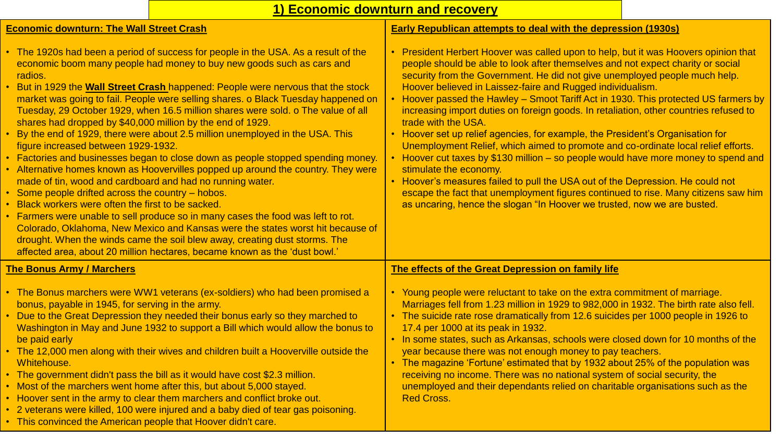## **1) Economic downturn and recovery**

#### **Economic downturn: The Wall Street Crash**

#### • The 1920s had been a period of success for people in the USA. As a result of the economic boom many people had money to buy new goods such as cars and radios. • But in 1929 the **Wall Street Crash** happened: People were nervous that the stock market was going to fail. People were selling shares. o Black Tuesday happened on Tuesday, 29 October 1929, when 16.5 million shares were sold. o The value of all shares had dropped by \$40,000 million by the end of 1929. • By the end of 1929, there were about 2.5 million unemployed in the USA. This figure increased between 1929-1932. • Factories and businesses began to close down as people stopped spending money. • Alternative homes known as Hoovervilles popped up around the country. They were made of tin, wood and cardboard and had no running water. • Some people drifted across the country – hobos. • Black workers were often the first to be sacked. • Farmers were unable to sell produce so in many cases the food was left to rot. Colorado, Oklahoma, New Mexico and Kansas were the states worst hit because of drought. When the winds came the soil blew away, creating dust storms. The affected area, about 20 million hectares, became known as the 'dust bowl.' **Early Republican attempts to deal with the depression (1930s)** • President Herbert Hoover was called upon to help, but it was Hoovers opinion that people should be able to look after themselves and not expect charity or social security from the Government. He did not give unemployed people much help. Hoover believed in Laissez-faire and Rugged individualism. • Hoover passed the Hawley – Smoot Tariff Act in 1930. This protected US farmers by increasing import duties on foreign goods. In retaliation, other countries refused to trade with the USA. • Hoover set up relief agencies, for example, the President's Organisation for Unemployment Relief, which aimed to promote and co-ordinate local relief efforts. • Hoover cut taxes by \$130 million – so people would have more money to spend and stimulate the economy. • Hoover's measures failed to pull the USA out of the Depression. He could not escape the fact that unemployment figures continued to rise. Many citizens saw him as uncaring, hence the slogan "In Hoover we trusted, now we are busted. **The Bonus Army / Marchers** • The Bonus marchers were WW1 veterans (ex-soldiers) who had been promised a bonus, payable in 1945, for serving in the army. • Due to the Great Depression they needed their bonus early so they marched to Washington in May and June 1932 to support a Bill which would allow the bonus to be paid early • The 12,000 men along with their wives and children built a Hooverville outside the Whitehouse. • The government didn't pass the bill as it would have cost \$2.3 million. • Most of the marchers went home after this, but about 5,000 stayed. • Hoover sent in the army to clear them marchers and conflict broke out. • 2 veterans were killed, 100 were injured and a baby died of tear gas poisoning. • This convinced the American people that Hoover didn't care. **The effects of the Great Depression on family life** • Young people were reluctant to take on the extra commitment of marriage. Marriages fell from 1.23 million in 1929 to 982,000 in 1932. The birth rate also fell. • The suicide rate rose dramatically from 12.6 suicides per 1000 people in 1926 to 17.4 per 1000 at its peak in 1932. • In some states, such as Arkansas, schools were closed down for 10 months of the year because there was not enough money to pay teachers. • The magazine 'Fortune' estimated that by 1932 about 25% of the population was receiving no income. There was no national system of social security, the unemployed and their dependants relied on charitable organisations such as the Red Cross.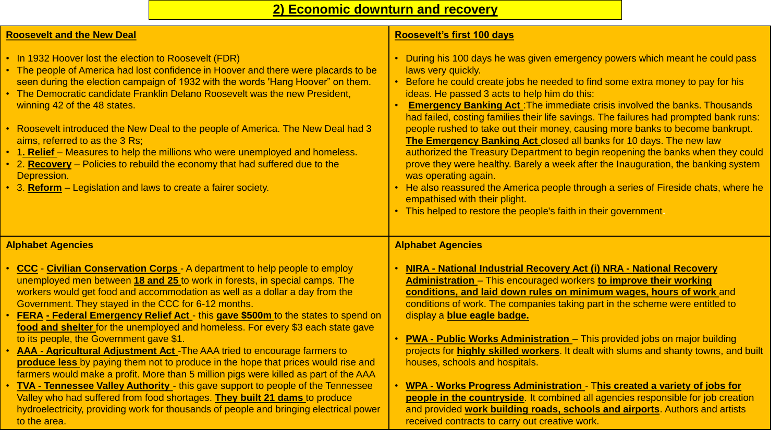### **Roosevelt and the New Deal**

• In 1932 Hoover lost the election to Roosevelt (FDR)

• The people of America had lost confidence in Hoover and there were placards to be seen during the election campaign of 1932 with the words 'Hang Hoover" on them.

- The Democratic candidate Franklin Delano Roosevelt was the new President, winning 42 of the 48 states.
- Roosevelt introduced the New Deal to the people of America. The New Deal had 3 aims, referred to as the 3 Rs;
- 1. Relief Measures to help the millions who were unemployed and homeless.
- 2. **Recovery** Policies to rebuild the economy that had suffered due to the Depression.
- 3. **Reform** Legislation and laws to create a fairer society.

#### **Roosevelt's first 100 days**

- During his 100 days he was given emergency powers which meant he could pass laws very quickly.
- Before he could create jobs he needed to find some extra money to pay for his ideas. He passed 3 acts to help him do this:
- **Emergency Banking Act** :The immediate crisis involved the banks. Thousands had failed, costing families their life savings. The failures had prompted bank runs: people rushed to take out their money, causing more banks to become bankrupt. **The Emergency Banking Act** closed all banks for 10 days. The new law authorized the Treasury Department to begin reopening the banks when they could prove they were healthy. Barely a week after the Inauguration, the banking system was operating again.
- He also reassured the America people through a series of Fireside chats, where he empathised with their plight.
- This helped to restore the people's faith in their government**.**

#### **Alphabet Agencies**

- **CCC Civilian Conservation Corps**  A department to help people to employ unemployed men between **18 and 25** to work in forests, in special camps. The workers would get food and accommodation as well as a dollar a day from the Government. They stayed in the CCC for 6-12 months.
- **FERA - Federal Emergency Relief Act**  this **gave \$500m** to the states to spend on **food and shelter** for the unemployed and homeless. For every \$3 each state gave to its people, the Government gave \$1.
- **AAA - Agricultural Adjustment Act** -The AAA tried to encourage farmers to **produce less** by paying them not to produce in the hope that prices would rise and farmers would make a profit. More than 5 million pigs were killed as part of the AAA
- **TVA - Tennessee Valley Authority**  this gave support to people of the Tennessee Valley who had suffered from food shortages. **They built 21 dams** to produce hydroelectricity, providing work for thousands of people and bringing electrical power to the area.

### **Alphabet Agencies**

- **NIRA - National Industrial Recovery Act (i) NRA - National Recovery Administration** – This encouraged workers **to improve their working conditions, and laid down rules on minimum wages, hours of work** and conditions of work. The companies taking part in the scheme were entitled to display a **blue eagle badge.**
- **PWA - Public Works Administration**  This provided jobs on major building projects for **highly skilled workers**. It dealt with slums and shanty towns, and built houses, schools and hospitals.
- **WPA - Works Progress Administration**  T**his created a variety of jobs for people in the countryside**. It combined all agencies responsible for job creation and provided **work building roads, schools and airports**. Authors and artists received contracts to carry out creative work.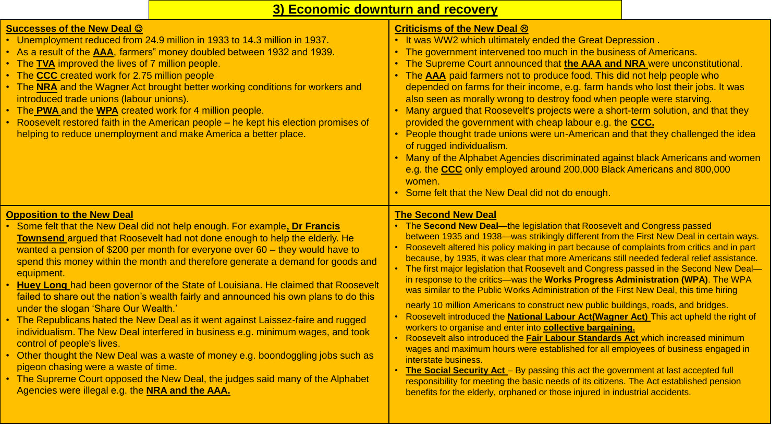# **3) Economic downturn and recovery**

| <b>Successes of the New Deal ©</b><br>• Unemployment reduced from 24.9 million in 1933 to 14.3 million in 1937.<br>• As a result of the <b>AAA</b> , farmers" money doubled between 1932 and 1939.<br>• The <b>TVA</b> improved the lives of 7 million people.<br>The CCC created work for 2.75 million people<br>• The <b>NRA</b> and the Wagner Act brought better working conditions for workers and<br>introduced trade unions (labour unions).<br>• The PWA and the WPA created work for 4 million people.<br>• Roosevelt restored faith in the American people - he kept his election promises of<br>helping to reduce unemployment and make America a better place.                                                                                                                                                                                                                                                                                                                                                                                                      | Criticisms of the New Deal ®<br>. It was WW2 which ultimately ended the Great Depression.<br>• The government intervened too much in the business of Americans.<br>• The Supreme Court announced that the AAA and NRA were unconstitutional.<br>• The AAA paid farmers not to produce food. This did not help people who<br>depended on farms for their income, e.g. farm hands who lost their jobs. It was<br>also seen as morally wrong to destroy food when people were starving.<br>• Many argued that Roosevelt's projects were a short-term solution, and that they<br>provided the government with cheap labour e.g. the CCC.<br>• People thought trade unions were un-American and that they challenged the idea<br>of rugged individualism.                                                                                                                                                                                                                                                                                                                                                                                                                                                                                                                                                                                                                                            |
|---------------------------------------------------------------------------------------------------------------------------------------------------------------------------------------------------------------------------------------------------------------------------------------------------------------------------------------------------------------------------------------------------------------------------------------------------------------------------------------------------------------------------------------------------------------------------------------------------------------------------------------------------------------------------------------------------------------------------------------------------------------------------------------------------------------------------------------------------------------------------------------------------------------------------------------------------------------------------------------------------------------------------------------------------------------------------------|-------------------------------------------------------------------------------------------------------------------------------------------------------------------------------------------------------------------------------------------------------------------------------------------------------------------------------------------------------------------------------------------------------------------------------------------------------------------------------------------------------------------------------------------------------------------------------------------------------------------------------------------------------------------------------------------------------------------------------------------------------------------------------------------------------------------------------------------------------------------------------------------------------------------------------------------------------------------------------------------------------------------------------------------------------------------------------------------------------------------------------------------------------------------------------------------------------------------------------------------------------------------------------------------------------------------------------------------------------------------------------------------------|
|                                                                                                                                                                                                                                                                                                                                                                                                                                                                                                                                                                                                                                                                                                                                                                                                                                                                                                                                                                                                                                                                                 | • Many of the Alphabet Agencies discriminated against black Americans and women<br>e.g. the CCC only employed around 200,000 Black Americans and 800,000<br>women.<br>• Some felt that the New Deal did not do enough.                                                                                                                                                                                                                                                                                                                                                                                                                                                                                                                                                                                                                                                                                                                                                                                                                                                                                                                                                                                                                                                                                                                                                                          |
| <b>Opposition to the New Deal</b><br>Some felt that the New Deal did not help enough. For example, Dr Francis<br>Townsend argued that Roosevelt had not done enough to help the elderly. He<br>wanted a pension of \$200 per month for everyone over $60 -$ they would have to<br>spend this money within the month and therefore generate a demand for goods and<br>equipment.<br><b>Huey Long</b> had been governor of the State of Louisiana. He claimed that Roosevelt<br>failed to share out the nation's wealth fairly and announced his own plans to do this<br>under the slogan 'Share Our Wealth.'<br>• The Republicans hated the New Deal as it went against Laissez-faire and rugged<br>individualism. The New Deal interfered in business e.g. minimum wages, and took<br>control of people's lives.<br>Other thought the New Deal was a waste of money e.g. boondoggling jobs such as<br>pigeon chasing were a waste of time.<br>• The Supreme Court opposed the New Deal, the judges said many of the Alphabet<br>Agencies were illegal e.g. the NRA and the AAA. | <b>The Second New Deal</b><br>• The Second New Deal--the legislation that Roosevelt and Congress passed<br>between 1935 and 1938—was strikingly different from the First New Deal in certain ways.<br>• Roosevelt altered his policy making in part because of complaints from critics and in part<br>because, by 1935, it was clear that more Americans still needed federal relief assistance.<br>• The first major legislation that Roosevelt and Congress passed in the Second New Deal-<br>in response to the critics—was the Works Progress Administration (WPA). The WPA<br>was similar to the Public Works Administration of the First New Deal, this time hiring<br>nearly 10 million Americans to construct new public buildings, roads, and bridges.<br>• Roosevelt introduced the <b>National Labour Act(Wagner Act)</b> This act upheld the right of<br>workers to organise and enter into collective bargaining.<br>Roosevelt also introduced the Fair Labour Standards Act which increased minimum<br>wages and maximum hours were established for all employees of business engaged in<br>interstate business.<br>The Social Security Act - By passing this act the government at last accepted full<br>responsibility for meeting the basic needs of its citizens. The Act established pension<br>benefits for the elderly, orphaned or those injured in industrial accidents. |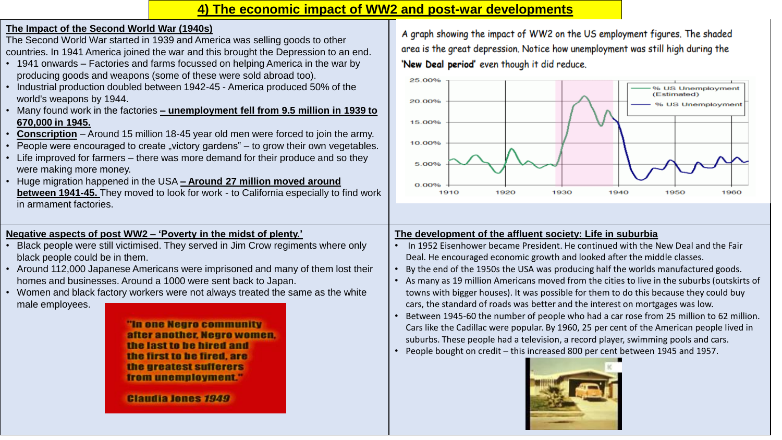### **4) The economic impact of WW2 and post-war developments**

### **The Impact of the Second World War (1940s)**

The Second World War started in 1939 and America was selling goods to other countries. In 1941 America joined the war and this brought the Depression to an end.

- 1941 onwards Factories and farms focussed on helping America in the war by producing goods and weapons (some of these were sold abroad too).
- Industrial production doubled between 1942-45 America produced 50% of the world's weapons by 1944.
- Many found work in the factories **– unemployment fell from 9.5 million in 1939 to 670,000 in 1945.**
- **Conscription** Around 15 million 18-45 year old men were forced to join the army.
- People were encouraged to create "victory gardens"  $-$  to grow their own vegetables.
- Life improved for farmers there was more demand for their produce and so they were making more money.
- Huge migration happened in the USA **– Around 27 million moved around between 1941-45.** They moved to look for work - to California especially to find work in armament factories.

### **Negative aspects of post WW2 – 'Poverty in the midst of plenty.'**

- Black people were still victimised. They served in Jim Crow regiments where only black people could be in them.
- Around 112,000 Japanese Americans were imprisoned and many of them lost their homes and businesses. Around a 1000 were sent back to Japan.
- Women and black factory workers were not always treated the same as the white male employees.

**"In one Negro community** after another. Neuro women. the last to be hired and the first to be fired, are the greatest sufferers from unemployment."

**Claudia Jones 1949** 

A graph showing the impact of WW2 on the US employment figures. The shaded area is the great depression. Notice how unemployment was still high during the 'New Deal period' even though it did reduce.



### **The development of the affluent society: Life in suburbia**

- In 1952 Eisenhower became President. He continued with the New Deal and the Fair Deal. He encouraged economic growth and looked after the middle classes.
- By the end of the 1950s the USA was producing half the worlds manufactured goods.
- As many as 19 million Americans moved from the cities to live in the suburbs (outskirts of towns with bigger houses). It was possible for them to do this because they could buy cars, the standard of roads was better and the interest on mortgages was low.
- Between 1945-60 the number of people who had a car rose from 25 million to 62 million. Cars like the Cadillac were popular. By 1960, 25 per cent of the American people lived in suburbs. These people had a television, a record player, swimming pools and cars.
- People bought on credit this increased 800 per cent between 1945 and 1957.

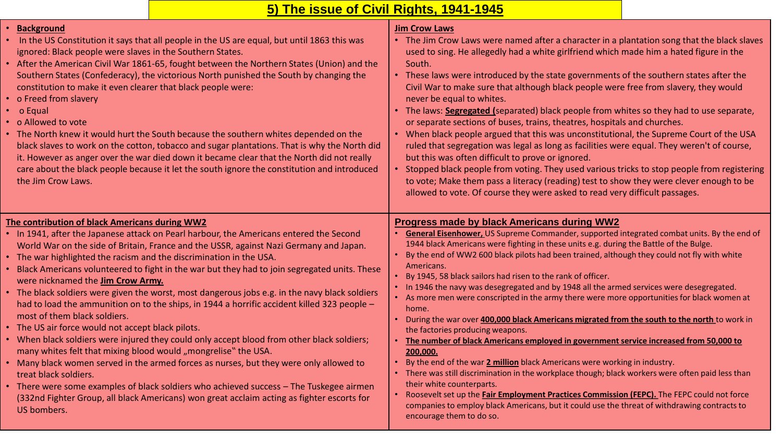# **5) The issue of Civil Rights, 1941-1945**

| • Background<br>• In the US Constitution it says that all people in the US are equal, but until 1863 this was<br>ignored: Black people were slaves in the Southern States.<br>• After the American Civil War 1861-65, fought between the Northern States (Union) and the<br>Southern States (Confederacy), the victorious North punished the South by changing the<br>constitution to make it even clearer that black people were:<br>• o Freed from slavery<br>• o Equal<br>• o Allowed to vote<br>• The North knew it would hurt the South because the southern whites depended on the<br>black slaves to work on the cotton, tobacco and sugar plantations. That is why the North did<br>it. However as anger over the war died down it became clear that the North did not really<br>care about the black people because it let the south ignore the constitution and introduced<br>the Jim Crow Laws.                                                                                                                                                                                                                                                                                                                                       | <b>Jim Crow Laws</b><br>• The Jim Crow Laws were named after a character in a plantation song that the black slaves<br>used to sing. He allegedly had a white girlfriend which made him a hated figure in the<br>South.<br>• These laws were introduced by the state governments of the southern states after the<br>Civil War to make sure that although black people were free from slavery, they would<br>never be equal to whites.<br>• The laws: <b>Segregated</b> (separated) black people from whites so they had to use separate,<br>or separate sections of buses, trains, theatres, hospitals and churches.<br>• When black people argued that this was unconstitutional, the Supreme Court of the USA<br>ruled that segregation was legal as long as facilities were equal. They weren't of course,<br>but this was often difficult to prove or ignored.<br>• Stopped black people from voting. They used various tricks to stop people from registering<br>to vote; Make them pass a literacy (reading) test to show they were clever enough to be<br>allowed to vote. Of course they were asked to read very difficult passages.                                                                                                                                                                                              |
|--------------------------------------------------------------------------------------------------------------------------------------------------------------------------------------------------------------------------------------------------------------------------------------------------------------------------------------------------------------------------------------------------------------------------------------------------------------------------------------------------------------------------------------------------------------------------------------------------------------------------------------------------------------------------------------------------------------------------------------------------------------------------------------------------------------------------------------------------------------------------------------------------------------------------------------------------------------------------------------------------------------------------------------------------------------------------------------------------------------------------------------------------------------------------------------------------------------------------------------------------|--------------------------------------------------------------------------------------------------------------------------------------------------------------------------------------------------------------------------------------------------------------------------------------------------------------------------------------------------------------------------------------------------------------------------------------------------------------------------------------------------------------------------------------------------------------------------------------------------------------------------------------------------------------------------------------------------------------------------------------------------------------------------------------------------------------------------------------------------------------------------------------------------------------------------------------------------------------------------------------------------------------------------------------------------------------------------------------------------------------------------------------------------------------------------------------------------------------------------------------------------------------------------------------------------------------------------------------------|
| The contribution of black Americans during WW2<br>• In 1941, after the Japanese attack on Pearl harbour, the Americans entered the Second<br>World War on the side of Britain, France and the USSR, against Nazi Germany and Japan.<br>• The war highlighted the racism and the discrimination in the USA.<br>• Black Americans volunteered to fight in the war but they had to join segregated units. These<br>were nicknamed the <b>Jim Crow Army.</b><br>• The black soldiers were given the worst, most dangerous jobs e.g. in the navy black soldiers<br>had to load the ammunition on to the ships, in 1944 a horrific accident killed 323 people -<br>most of them black soldiers.<br>• The US air force would not accept black pilots.<br>• When black soldiers were injured they could only accept blood from other black soldiers;<br>many whites felt that mixing blood would "mongrelise" the USA.<br>• Many black women served in the armed forces as nurses, but they were only allowed to<br>treat black soldiers.<br>• There were some examples of black soldiers who achieved success - The Tuskegee airmen<br>(332nd Fighter Group, all black Americans) won great acclaim acting as fighter escorts for<br><b>US</b> bombers. | <b>Progress made by black Americans during WW2</b><br>General Eisenhower, US Supreme Commander, supported integrated combat units. By the end of<br>$\bullet$<br>1944 black Americans were fighting in these units e.g. during the Battle of the Bulge.<br>• By the end of WW2 600 black pilots had been trained, although they could not fly with white<br>Americans.<br>• By 1945, 58 black sailors had risen to the rank of officer.<br>• In 1946 the navy was desegregated and by 1948 all the armed services were desegregated.<br>• As more men were conscripted in the army there were more opportunities for black women at<br>home.<br>• During the war over 400,000 black Americans migrated from the south to the north to work in<br>the factories producing weapons.<br>The number of black Americans employed in government service increased from 50,000 to<br>200,000.<br>• By the end of the war 2 million black Americans were working in industry.<br>• There was still discrimination in the workplace though; black workers were often paid less than<br>their white counterparts.<br>. Roosevelt set up the <b>Fair Employment Practices Commission (FEPC).</b> The FEPC could not force<br>companies to employ black Americans, but it could use the threat of withdrawing contracts to<br>encourage them to do so. |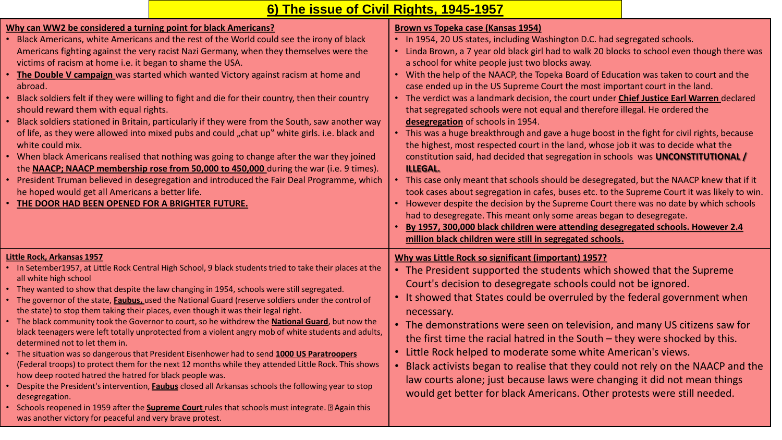| 6) The issue of Civil Rights, 1945-1957 |  |
|-----------------------------------------|--|
|-----------------------------------------|--|

| Why can WW2 be considered a turning point for black Americans?<br>Black Americans, white Americans and the rest of the World could see the irony of black<br>Americans fighting against the very racist Nazi Germany, when they themselves were the<br>victims of racism at home i.e. it began to shame the USA.<br>The Double V campaign was started which wanted Victory against racism at home and<br>abroad.<br>Black soldiers felt if they were willing to fight and die for their country, then their country<br>should reward them with equal rights.<br>Black soldiers stationed in Britain, particularly if they were from the South, saw another way<br>of life, as they were allowed into mixed pubs and could "chat up" white girls. i.e. black and<br>white could mix.<br>• When black Americans realised that nothing was going to change after the war they joined<br>the <b>NAACP; NAACP membership rose from 50,000 to 450,000</b> during the war (i.e. 9 times).<br>President Truman believed in desegregation and introduced the Fair Deal Programme, which<br>he hoped would get all Americans a better life.<br>THE DOOR HAD BEEN OPENED FOR A BRIGHTER FUTURE.                                                                                                     | Brown vs Topeka case (Kansas 1954)<br>• In 1954, 20 US states, including Washington D.C. had segregated schools.<br>• Linda Brown, a 7 year old black girl had to walk 20 blocks to school even though there was<br>a school for white people just two blocks away.<br>• With the help of the NAACP, the Topeka Board of Education was taken to court and the<br>case ended up in the US Supreme Court the most important court in the land.<br>• The verdict was a landmark decision, the court under Chief Justice Earl Warren declared<br>that segregated schools were not equal and therefore illegal. He ordered the<br>desegregation of schools in 1954.<br>• This was a huge breakthrough and gave a huge boost in the fight for civil rights, because<br>the highest, most respected court in the land, whose job it was to decide what the<br>constitution said, had decided that segregation in schools was UNCONSTITUTIONAL<br><b>ILLEGAL.</b><br>• This case only meant that schools should be desegregated, but the NAACP knew that if it<br>took cases about segregation in cafes, buses etc. to the Supreme Court it was likely to win.<br>• However despite the decision by the Supreme Court there was no date by which schools<br>had to desegregate. This meant only some areas began to desegregate.<br>By 1957, 300,000 black children were attending desegregated schools. However 2.4<br>million black children were still in segregated schools. |
|------------------------------------------------------------------------------------------------------------------------------------------------------------------------------------------------------------------------------------------------------------------------------------------------------------------------------------------------------------------------------------------------------------------------------------------------------------------------------------------------------------------------------------------------------------------------------------------------------------------------------------------------------------------------------------------------------------------------------------------------------------------------------------------------------------------------------------------------------------------------------------------------------------------------------------------------------------------------------------------------------------------------------------------------------------------------------------------------------------------------------------------------------------------------------------------------------------------------------------------------------------------------------------------|--------------------------------------------------------------------------------------------------------------------------------------------------------------------------------------------------------------------------------------------------------------------------------------------------------------------------------------------------------------------------------------------------------------------------------------------------------------------------------------------------------------------------------------------------------------------------------------------------------------------------------------------------------------------------------------------------------------------------------------------------------------------------------------------------------------------------------------------------------------------------------------------------------------------------------------------------------------------------------------------------------------------------------------------------------------------------------------------------------------------------------------------------------------------------------------------------------------------------------------------------------------------------------------------------------------------------------------------------------------------------------------------------------------------------------------------------------------------------|
| Little Rock, Arkansas 1957<br>• In Setember1957, at Little Rock Central High School, 9 black students tried to take their places at the<br>all white high school<br>• They wanted to show that despite the law changing in 1954, schools were still segregated.<br>The governor of the state, Faubus, used the National Guard (reserve soldiers under the control of<br>the state) to stop them taking their places, even though it was their legal right.<br>The black community took the Governor to court, so he withdrew the <b>National Guard</b> , but now the<br>black teenagers were left totally unprotected from a violent angry mob of white students and adults,<br>determined not to let them in.<br>The situation was so dangerous that President Eisenhower had to send 1000 US Paratroopers<br>(Federal troops) to protect them for the next 12 months while they attended Little Rock. This shows<br>how deep rooted hatred the hatred for black people was.<br>Despite the President's intervention, Faubus closed all Arkansas schools the following year to stop<br>desegregation.<br>Schools reopened in 1959 after the <b>Supreme Court</b> rules that schools must integrate. $\mathbb{Z}$ Again this<br>was another victory for peaceful and very brave protest. | Why was Little Rock so significant (important) 1957?<br>• The President supported the students which showed that the Supreme<br>Court's decision to desegregate schools could not be ignored.<br>• It showed that States could be overruled by the federal government when<br>necessary.<br>• The demonstrations were seen on television, and many US citizens saw for<br>the first time the racial hatred in the South $-$ they were shocked by this.<br>• Little Rock helped to moderate some white American's views.<br>• Black activists began to realise that they could not rely on the NAACP and the<br>law courts alone; just because laws were changing it did not mean things<br>would get better for black Americans. Other protests were still needed.                                                                                                                                                                                                                                                                                                                                                                                                                                                                                                                                                                                                                                                                                                       |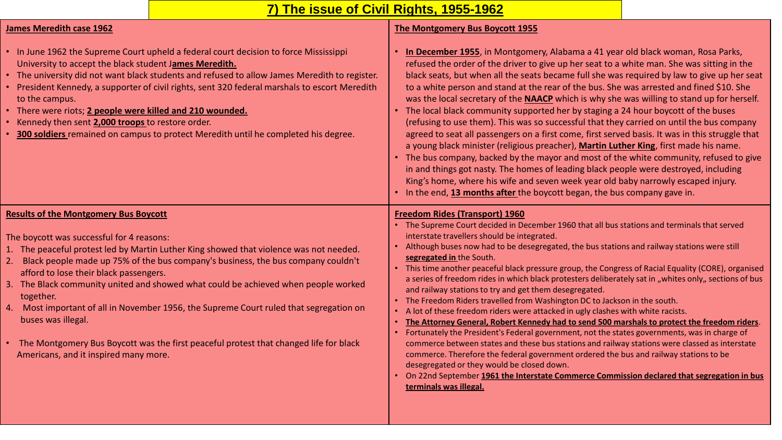# **7) The issue of Civil Rights, 1955-1962**

### **James Meredith case 1962**

# **The Montgomery Bus Boycott 1955**

| • In June 1962 the Supreme Court upheld a federal court decision to force Mississippi<br>University to accept the black student James Meredith.<br>• The university did not want black students and refused to allow James Meredith to register.<br>• President Kennedy, a supporter of civil rights, sent 320 federal marshals to escort Meredith<br>to the campus.<br>• There were riots; 2 people were killed and 210 wounded.<br>• Kennedy then sent 2,000 troops to restore order.<br>300 soldiers remained on campus to protect Meredith until he completed his degree.                                                                                             | In December 1955, in Montgomery, Alabama a 41 year old black woman, Rosa Parks,<br>refused the order of the driver to give up her seat to a white man. She was sitting in the<br>black seats, but when all the seats became full she was required by law to give up her seat<br>to a white person and stand at the rear of the bus. She was arrested and fined \$10. She<br>was the local secretary of the <b>NAACP</b> which is why she was willing to stand up for herself.<br>• The local black community supported her by staging a 24 hour boycott of the buses<br>(refusing to use them). This was so successful that they carried on until the bus company<br>agreed to seat all passengers on a first come, first served basis. It was in this struggle that<br>a young black minister (religious preacher), Martin Luther King, first made his name.<br>• The bus company, backed by the mayor and most of the white community, refused to give<br>in and things got nasty. The homes of leading black people were destroyed, including<br>King's home, where his wife and seven week year old baby narrowly escaped injury.<br>• In the end, 13 months after the boycott began, the bus company gave in.                                                                                                       |
|---------------------------------------------------------------------------------------------------------------------------------------------------------------------------------------------------------------------------------------------------------------------------------------------------------------------------------------------------------------------------------------------------------------------------------------------------------------------------------------------------------------------------------------------------------------------------------------------------------------------------------------------------------------------------|--------------------------------------------------------------------------------------------------------------------------------------------------------------------------------------------------------------------------------------------------------------------------------------------------------------------------------------------------------------------------------------------------------------------------------------------------------------------------------------------------------------------------------------------------------------------------------------------------------------------------------------------------------------------------------------------------------------------------------------------------------------------------------------------------------------------------------------------------------------------------------------------------------------------------------------------------------------------------------------------------------------------------------------------------------------------------------------------------------------------------------------------------------------------------------------------------------------------------------------------------------------------------------------------------------------------------|
| <b>Results of the Montgomery Bus Boycott</b><br>The boycott was successful for 4 reasons:<br>1. The peaceful protest led by Martin Luther King showed that violence was not needed.<br>2. Black people made up 75% of the bus company's business, the bus company couldn't<br>afford to lose their black passengers.<br>3. The Black community united and showed what could be achieved when people worked<br>together.<br>4. Most important of all in November 1956, the Supreme Court ruled that segregation on<br>buses was illegal.<br>The Montgomery Bus Boycott was the first peaceful protest that changed life for black<br>Americans, and it inspired many more. | <b>Freedom Rides (Transport) 1960</b><br>• The Supreme Court decided in December 1960 that all bus stations and terminals that served<br>interstate travellers should be integrated.<br>Although buses now had to be desegregated, the bus stations and railway stations were still<br>segregated in the South.<br>This time another peaceful black pressure group, the Congress of Racial Equality (CORE), organised<br>a series of freedom rides in which black protesters deliberately sat in "whites only" sections of bus<br>and railway stations to try and get them desegregated.<br>The Freedom Riders travelled from Washington DC to Jackson in the south.<br>A lot of these freedom riders were attacked in ugly clashes with white racists.<br>The Attorney General, Robert Kennedy had to send 500 marshals to protect the freedom riders.<br>Fortunately the President's Federal government, not the states governments, was in charge of<br>commerce between states and these bus stations and railway stations were classed as interstate<br>commerce. Therefore the federal government ordered the bus and railway stations to be<br>desegregated or they would be closed down.<br>On 22nd September 1961 the Interstate Commerce Commission declared that segregation in bus<br>terminals was illegal. |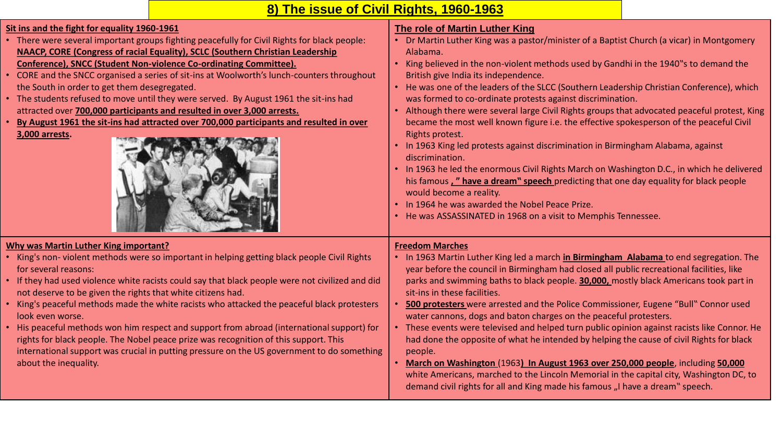# **8) The issue of Civil Rights, 1960-1963**

| Sit ins and the fight for equality 1960-1961<br>• There were several important groups fighting peacefully for Civil Rights for black people:<br>NAACP, CORE (Congress of racial Equality), SCLC (Southern Christian Leadership<br>Conference), SNCC (Student Non-violence Co-ordinating Committee).<br>• CORE and the SNCC organised a series of sit-ins at Woolworth's lunch-counters throughout<br>the South in order to get them desegregated.<br>• The students refused to move until they were served. By August 1961 the sit-ins had<br>attracted over 700,000 participants and resulted in over 3,000 arrests.<br>By August 1961 the sit-ins had attracted over 700,000 participants and resulted in over<br>3,000 arrests.                                     | <b>The role of Martin Luther King</b><br>• Dr Martin Luther King was a pastor/minister of a Baptist Church (a vicar) in Montgomery<br>Alabama.<br>• King believed in the non-violent methods used by Gandhi in the 1940"s to demand the<br>British give India its independence.<br>• He was one of the leaders of the SLCC (Southern Leadership Christian Conference), which<br>was formed to co-ordinate protests against discrimination.<br>Although there were several large Civil Rights groups that advocated peaceful protest, King<br>became the most well known figure i.e. the effective spokesperson of the peaceful Civil<br>Rights protest.<br>• In 1963 King led protests against discrimination in Birmingham Alabama, against<br>discrimination.<br>• In 1963 he led the enormous Civil Rights March on Washington D.C., in which he delivered<br>his famous," have a dream" speech predicting that one day equality for black people<br>would become a reality.<br>• In 1964 he was awarded the Nobel Peace Prize.<br>• He was ASSASSINATED in 1968 on a visit to Memphis Tennessee. |
|------------------------------------------------------------------------------------------------------------------------------------------------------------------------------------------------------------------------------------------------------------------------------------------------------------------------------------------------------------------------------------------------------------------------------------------------------------------------------------------------------------------------------------------------------------------------------------------------------------------------------------------------------------------------------------------------------------------------------------------------------------------------|------------------------------------------------------------------------------------------------------------------------------------------------------------------------------------------------------------------------------------------------------------------------------------------------------------------------------------------------------------------------------------------------------------------------------------------------------------------------------------------------------------------------------------------------------------------------------------------------------------------------------------------------------------------------------------------------------------------------------------------------------------------------------------------------------------------------------------------------------------------------------------------------------------------------------------------------------------------------------------------------------------------------------------------------------------------------------------------------------|
| <b>Why was Martin Luther King important?</b><br>• King's non-violent methods were so important in helping getting black people Civil Rights<br>for several reasons:<br>• If they had used violence white racists could say that black people were not civilized and did<br>not deserve to be given the rights that white citizens had.<br>• King's peaceful methods made the white racists who attacked the peaceful black protesters<br>look even worse.<br>• His peaceful methods won him respect and support from abroad (international support) for<br>rights for black people. The Nobel peace prize was recognition of this support. This<br>international support was crucial in putting pressure on the US government to do something<br>about the inequality. | <b>Freedom Marches</b><br>• In 1963 Martin Luther King led a march in Birmingham Alabama to end segregation. The<br>year before the council in Birmingham had closed all public recreational facilities, like<br>parks and swimming baths to black people. <b>30,000</b> , mostly black Americans took part in<br>sit-ins in these facilities.<br>500 protesters were arrested and the Police Commissioner, Eugene "Bull" Connor used<br>water cannons, dogs and baton charges on the peaceful protesters.<br>• These events were televised and helped turn public opinion against racists like Connor. He<br>had done the opposite of what he intended by helping the cause of civil Rights for black<br>people.<br>March on Washington (1963) In August 1963 over 250,000 people, including 50,000<br>white Americans, marched to the Lincoln Memorial in the capital city, Washington DC, to<br>demand civil rights for all and King made his famous "I have a dream" speech.                                                                                                                     |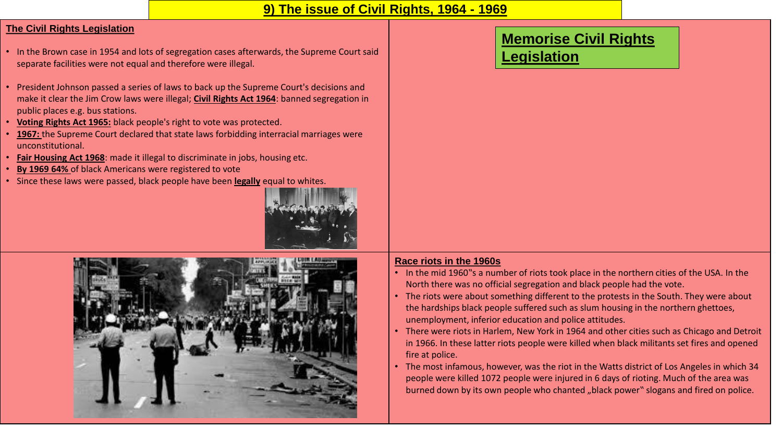### **9) The issue of Civil Rights, 1964 - 1969**

### **The Civil Rights Legislation**

- In the Brown case in 1954 and lots of segregation cases afterwards, the Supreme Court said separate facilities were not equal and therefore were illegal.
- President Johnson passed a series of laws to back up the Supreme Court's decisions and make it clear the Jim Crow laws were illegal; **Civil Rights Act 1964**: banned segregation in public places e.g. bus stations.
- **Voting Rights Act 1965:** black people's right to vote was protected.
- **1967:** the Supreme Court declared that state laws forbidding interracial marriages were unconstitutional.
- **Fair Housing Act 1968**: made it illegal to discriminate in jobs, housing etc.
- **By 1969 64%** of black Americans were registered to vote
- Since these laws were passed, black people have been **legally** equal to whites.





# **Memorise Civil Rights**

# **Legislation**

#### **Race riots in the 1960s**

- In the mid 1960"s a number of riots took place in the northern cities of the USA. In the North there was no official segregation and black people had the vote.
- The riots were about something different to the protests in the South. They were about the hardships black people suffered such as slum housing in the northern ghettoes, unemployment, inferior education and police attitudes.
- There were riots in Harlem, New York in 1964 and other cities such as Chicago and Detroit in 1966. In these latter riots people were killed when black militants set fires and opened fire at police.
- The most infamous, however, was the riot in the Watts district of Los Angeles in which 34 people were killed 1072 people were injured in 6 days of rioting. Much of the area was burned down by its own people who chanted "black power" slogans and fired on police.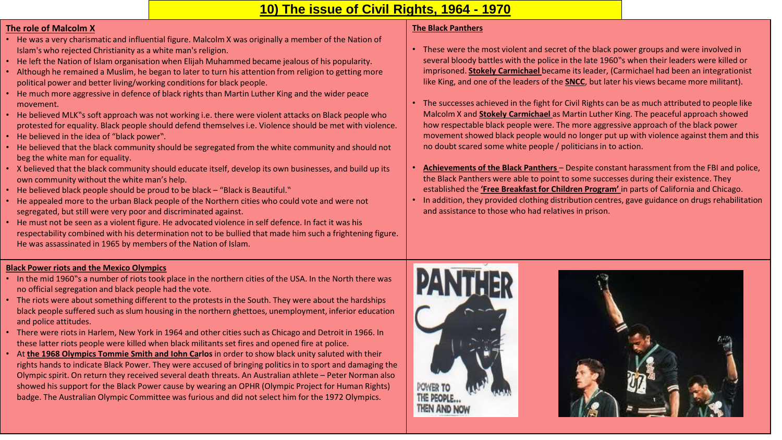# **10) The issue of Civil Rights, 1964 - 1970**

#### **The role of Malcolm X**

- He was a very charismatic and influential figure. Malcolm X was originally a member of the Nation of Islam's who rejected Christianity as a white man's religion.
- He left the Nation of Islam organisation when Elijah Muhammed became jealous of his popularity.
- Although he remained a Muslim, he began to later to turn his attention from religion to getting more political power and better living/working conditions for black people.
- He much more aggressive in defence of black rights than Martin Luther King and the wider peace movement.
- He believed MLK"s soft approach was not working i.e. there were violent attacks on Black people who protested for equality. Black people should defend themselves i.e. Violence should be met with violence.
- He believed in the idea of "black power".
- He believed that the black community should be segregated from the white community and should not beg the white man for equality.
- X believed that the black community should educate itself, develop its own businesses, and build up its own community without the white man's help.
- He believed black people should be proud to be black "Black is Beautiful."
- He appealed more to the urban Black people of the Northern cities who could vote and were not segregated, but still were very poor and discriminated against.
- He must not be seen as a violent figure. He advocated violence in self defence. In fact it was his respectability combined with his determination not to be bullied that made him such a frightening figure. He was assassinated in 1965 by members of the Nation of Islam.

#### **The Black Panthers**

- These were the most violent and secret of the black power groups and were involved in several bloody battles with the police in the late 1960"s when their leaders were killed or imprisoned. **Stokely Carmichael** became its leader, (Carmichael had been an integrationist like King, and one of the leaders of the **SNCC**, but later his views became more militant).
- The successes achieved in the fight for Civil Rights can be as much attributed to people like Malcolm X and **Stokely Carmichael** as Martin Luther King. The peaceful approach showed how respectable black people were. The more aggressive approach of the black power movement showed black people would no longer put up with violence against them and this no doubt scared some white people / politicians in to action.
- **Achievements of the Black Panthers**  Despite constant harassment from the FBI and police, the Black Panthers were able to point to some successes during their existence. They established the **'Free Breakfast for Children Program'** in parts of California and Chicago.
- In addition, they provided clothing distribution centres, gave guidance on drugs rehabilitation and assistance to those who had relatives in prison.

#### **Black Power riots and the Mexico Olympics**

- In the mid 1960"s a number of riots took place in the northern cities of the USA. In the North there was no official segregation and black people had the vote.
- The riots were about something different to the protests in the South. They were about the hardships black people suffered such as slum housing in the northern ghettoes, unemployment, inferior education and police attitudes.
- There were riots in Harlem, New York in 1964 and other cities such as Chicago and Detroit in 1966. In these latter riots people were killed when black militants set fires and opened fire at police.
- At **the 1968 Olympics Tommie Smith and Iohn Carlos** in order to show black unity saluted with their rights hands to indicate Black Power. They were accused of bringing politics in to sport and damaging the Olympic spirit. On return they received several death threats. An Australian athlete – Peter Norman also showed his support for the Black Power cause by wearing an OPHR (Olympic Project for Human Rights) badge. The Australian Olympic Committee was furious and did not select him for the 1972 Olympics.



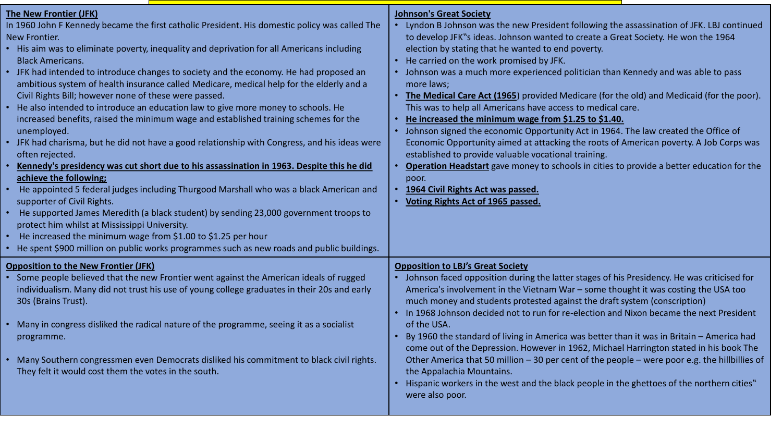| <b>The New Frontier (JFK)</b><br>In 1960 John F Kennedy became the first catholic President. His domestic policy was called The<br>New Frontier.<br>• His aim was to eliminate poverty, inequality and deprivation for all Americans including<br><b>Black Americans.</b><br>• JFK had intended to introduce changes to society and the economy. He had proposed an<br>ambitious system of health insurance called Medicare, medical help for the elderly and a<br>Civil Rights Bill; however none of these were passed.<br>• He also intended to introduce an education law to give more money to schools. He<br>increased benefits, raised the minimum wage and established training schemes for the<br>unemployed.<br>• JFK had charisma, but he did not have a good relationship with Congress, and his ideas were<br>often rejected.<br>Kennedy's presidency was cut short due to his assassination in 1963. Despite this he did<br>achieve the following;<br>He appointed 5 federal judges including Thurgood Marshall who was a black American and<br>supporter of Civil Rights.<br>• He supported James Meredith (a black student) by sending 23,000 government troops to<br>protect him whilst at Mississippi University.<br>He increased the minimum wage from \$1.00 to \$1.25 per hour | <b>Johnson's Great Society</b><br>Lyndon B Johnson was the new President following the assassination of JFK. LBJ continued<br>to develop JFK"s ideas. Johnson wanted to create a Great Society. He won the 1964<br>election by stating that he wanted to end poverty.<br>• He carried on the work promised by JFK.<br>• Johnson was a much more experienced politician than Kennedy and was able to pass<br>more laws;<br>The Medical Care Act (1965) provided Medicare (for the old) and Medicaid (for the poor).<br>This was to help all Americans have access to medical care.<br>He increased the minimum wage from \$1.25 to \$1.40.<br>Johnson signed the economic Opportunity Act in 1964. The law created the Office of<br>Economic Opportunity aimed at attacking the roots of American poverty. A Job Corps was<br>established to provide valuable vocational training.<br><b>Operation Headstart</b> gave money to schools in cities to provide a better education for the<br>poor.<br>1964 Civil Rights Act was passed.<br>Voting Rights Act of 1965 passed. |
|----------------------------------------------------------------------------------------------------------------------------------------------------------------------------------------------------------------------------------------------------------------------------------------------------------------------------------------------------------------------------------------------------------------------------------------------------------------------------------------------------------------------------------------------------------------------------------------------------------------------------------------------------------------------------------------------------------------------------------------------------------------------------------------------------------------------------------------------------------------------------------------------------------------------------------------------------------------------------------------------------------------------------------------------------------------------------------------------------------------------------------------------------------------------------------------------------------------------------------------------------------------------------------------------------|--------------------------------------------------------------------------------------------------------------------------------------------------------------------------------------------------------------------------------------------------------------------------------------------------------------------------------------------------------------------------------------------------------------------------------------------------------------------------------------------------------------------------------------------------------------------------------------------------------------------------------------------------------------------------------------------------------------------------------------------------------------------------------------------------------------------------------------------------------------------------------------------------------------------------------------------------------------------------------------------------------------------------------------------------------------------------|
| • He spent \$900 million on public works programmes such as new roads and public buildings.<br><b>Opposition to the New Frontier (JFK)</b><br>Some people believed that the new Frontier went against the American ideals of rugged<br>individualism. Many did not trust his use of young college graduates in their 20s and early<br>30s (Brains Trust).<br>• Many in congress disliked the radical nature of the programme, seeing it as a socialist<br>programme.<br>• Many Southern congressmen even Democrats disliked his commitment to black civil rights.<br>They felt it would cost them the votes in the south.                                                                                                                                                                                                                                                                                                                                                                                                                                                                                                                                                                                                                                                                          | <b>Opposition to LBJ's Great Society</b><br>Johnson faced opposition during the latter stages of his Presidency. He was criticised for<br>America's involvement in the Vietnam War - some thought it was costing the USA too<br>much money and students protested against the draft system (conscription)<br>• In 1968 Johnson decided not to run for re-election and Nixon became the next President<br>of the USA.<br>By 1960 the standard of living in America was better than it was in Britain - America had<br>come out of the Depression. However in 1962, Michael Harrington stated in his book The<br>Other America that 50 million - 30 per cent of the people - were poor e.g. the hillbillies of<br>the Appalachia Mountains.<br>Hispanic workers in the west and the black people in the ghettoes of the northern cities"<br>were also poor.                                                                                                                                                                                                                |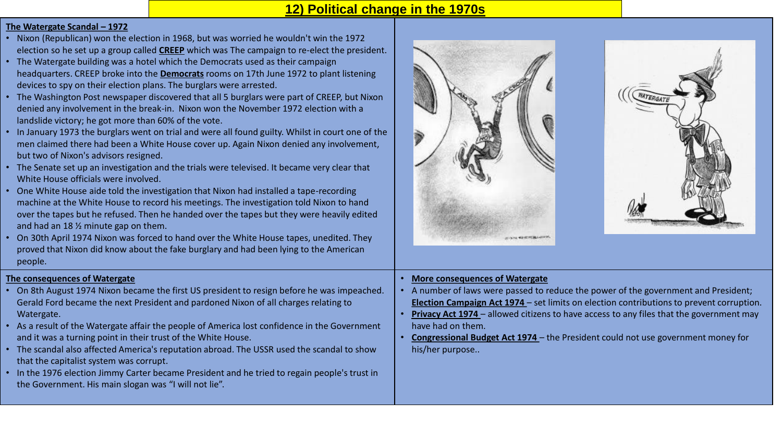### **12) Political change in the 1970s**

#### **The Watergate Scandal – 1972**

- Nixon (Republican) won the election in 1968, but was worried he wouldn't win the 1972 election so he set up a group called **CREEP** which was The campaign to re-elect the president.
- The Watergate building was a hotel which the Democrats used as their campaign headquarters. CREEP broke into the **Democrats** rooms on 17th June 1972 to plant listening devices to spy on their election plans. The burglars were arrested.
- The Washington Post newspaper discovered that all 5 burglars were part of CREEP, but Nixon denied any involvement in the break-in. Nixon won the November 1972 election with a landslide victory; he got more than 60% of the vote.
- In January 1973 the burglars went on trial and were all found guilty. Whilst in court one of the men claimed there had been a White House cover up. Again Nixon denied any involvement, but two of Nixon's advisors resigned.
- The Senate set up an investigation and the trials were televised. It became very clear that White House officials were involved.
- One White House aide told the investigation that Nixon had installed a tape-recording machine at the White House to record his meetings. The investigation told Nixon to hand over the tapes but he refused. Then he handed over the tapes but they were heavily edited and had an 18 ½ minute gap on them.
- On 30th April 1974 Nixon was forced to hand over the White House tapes, unedited. They proved that Nixon did know about the fake burglary and had been lying to the American people.

#### **The consequences of Watergate**

- On 8th August 1974 Nixon became the first US president to resign before he was impeached. Gerald Ford became the next President and pardoned Nixon of all charges relating to Watergate.
- As a result of the Watergate affair the people of America lost confidence in the Government and it was a turning point in their trust of the White House.
- The scandal also affected America's reputation abroad. The USSR used the scandal to show that the capitalist system was corrupt.
- In the 1976 election Jimmy Carter became President and he tried to regain people's trust in the Government. His main slogan was "I will not lie".





#### • **More consequences of Watergate**

- A number of laws were passed to reduce the power of the government and President; **Election Campaign Act 1974** – set limits on election contributions to prevent corruption.
- **Privacy Act 1974**  allowed citizens to have access to any files that the government may have had on them.
- **Congressional Budget Act 1974**  the President could not use government money for his/her purpose..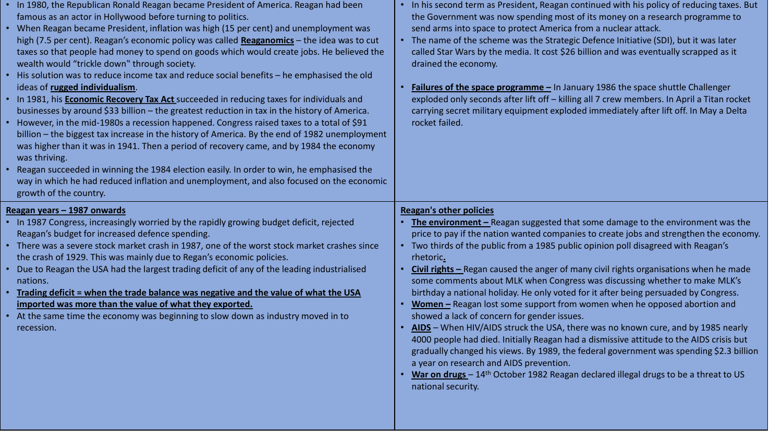| • In 1980, the Republican Ronald Reagan became President of America. Reagan had been<br>famous as an actor in Hollywood before turning to politics.<br>• When Reagan became President, inflation was high (15 per cent) and unemployment was<br>high (7.5 per cent). Reagan's economic policy was called Reaganomics - the idea was to cut<br>taxes so that people had money to spend on goods which would create jobs. He believed the<br>wealth would "trickle down" through society.<br>• His solution was to reduce income tax and reduce social benefits - he emphasised the old<br>ideas of rugged individualism.<br>. In 1981, his <b>Economic Recovery Tax Act</b> succeeded in reducing taxes for individuals and<br>businesses by around \$33 billion - the greatest reduction in tax in the history of America.<br>• However, in the mid-1980s a recession happened. Congress raised taxes to a total of \$91<br>billion - the biggest tax increase in the history of America. By the end of 1982 unemployment<br>was higher than it was in 1941. Then a period of recovery came, and by 1984 the economy<br>was thriving.<br>• Reagan succeeded in winning the 1984 election easily. In order to win, he emphasised the<br>way in which he had reduced inflation and unemployment, and also focused on the economic<br>growth of the country. | In his second term as President, Reagan continued with his policy of reducing taxes. But<br>the Government was now spending most of its money on a research programme to<br>send arms into space to protect America from a nuclear attack.<br>The name of the scheme was the Strategic Defence Initiative (SDI), but it was later<br>$\bullet$<br>called Star Wars by the media. It cost \$26 billion and was eventually scrapped as it<br>drained the economy.<br>Failures of the space programme - In January 1986 the space shuttle Challenger<br>exploded only seconds after lift off - killing all 7 crew members. In April a Titan rocket<br>carrying secret military equipment exploded immediately after lift off. In May a Delta<br>rocket failed.                                                                                                                                                                                                                                                                                                                                                                                           |
|-----------------------------------------------------------------------------------------------------------------------------------------------------------------------------------------------------------------------------------------------------------------------------------------------------------------------------------------------------------------------------------------------------------------------------------------------------------------------------------------------------------------------------------------------------------------------------------------------------------------------------------------------------------------------------------------------------------------------------------------------------------------------------------------------------------------------------------------------------------------------------------------------------------------------------------------------------------------------------------------------------------------------------------------------------------------------------------------------------------------------------------------------------------------------------------------------------------------------------------------------------------------------------------------------------------------------------------------------------------|-------------------------------------------------------------------------------------------------------------------------------------------------------------------------------------------------------------------------------------------------------------------------------------------------------------------------------------------------------------------------------------------------------------------------------------------------------------------------------------------------------------------------------------------------------------------------------------------------------------------------------------------------------------------------------------------------------------------------------------------------------------------------------------------------------------------------------------------------------------------------------------------------------------------------------------------------------------------------------------------------------------------------------------------------------------------------------------------------------------------------------------------------------|
| Reagan years - 1987 onwards<br>• In 1987 Congress, increasingly worried by the rapidly growing budget deficit, rejected<br>Reagan's budget for increased defence spending.<br>• There was a severe stock market crash in 1987, one of the worst stock market crashes since<br>the crash of 1929. This was mainly due to Regan's economic policies.<br>• Due to Reagan the USA had the largest trading deficit of any of the leading industrialised<br>nations.<br>Trading deficit = when the trade balance was negative and the value of what the USA<br>imported was more than the value of what they exported.<br>• At the same time the economy was beginning to slow down as industry moved in to<br>recession.                                                                                                                                                                                                                                                                                                                                                                                                                                                                                                                                                                                                                                       | <b>Reagan's other policies</b><br>The environment - Reagan suggested that some damage to the environment was the<br>price to pay if the nation wanted companies to create jobs and strengthen the economy.<br>• Two thirds of the public from a 1985 public opinion poll disagreed with Reagan's<br>rhetoric.<br>Civil rights - Regan caused the anger of many civil rights organisations when he made<br>some comments about MLK when Congress was discussing whether to make MLK's<br>birthday a national holiday. He only voted for it after being persuaded by Congress.<br>Women - Reagan lost some support from women when he opposed abortion and<br>showed a lack of concern for gender issues.<br>AIDS - When HIV/AIDS struck the USA, there was no known cure, and by 1985 nearly<br>4000 people had died. Initially Reagan had a dismissive attitude to the AIDS crisis but<br>gradually changed his views. By 1989, the federal government was spending \$2.3 billion<br>a year on research and AIDS prevention.<br>War on drugs - 14 <sup>th</sup> October 1982 Reagan declared illegal drugs to be a threat to US<br>national security. |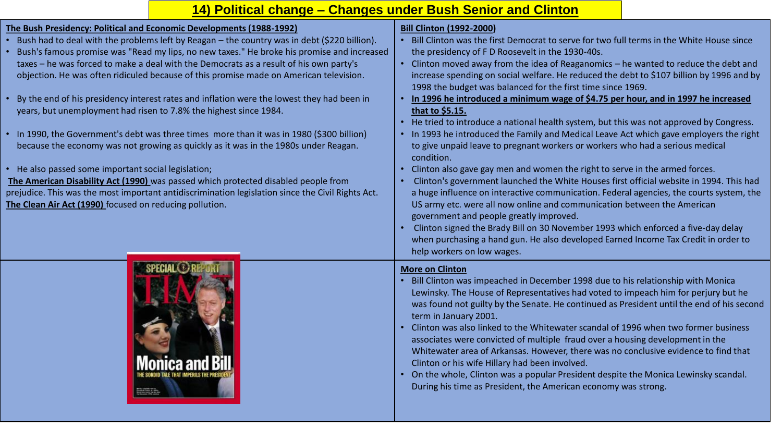# **14) Political change – Changes under Bush Senior and Clinton**

| The Bush Presidency: Political and Economic Developments (1988-1992)<br>Bush had to deal with the problems left by Reagan - the country was in debt (\$220 billion).<br>Bush's famous promise was "Read my lips, no new taxes." He broke his promise and increased<br>taxes - he was forced to make a deal with the Democrats as a result of his own party's<br>objection. He was often ridiculed because of this promise made on American television.<br>By the end of his presidency interest rates and inflation were the lowest they had been in<br>years, but unemployment had risen to 7.8% the highest since 1984.<br>In 1990, the Government's debt was three times more than it was in 1980 (\$300 billion)<br>because the economy was not growing as quickly as it was in the 1980s under Reagan.<br>• He also passed some important social legislation;<br>The American Disability Act (1990) was passed which protected disabled people from<br>prejudice. This was the most important antidiscrimination legislation since the Civil Rights Act.<br>The Clean Air Act (1990) focused on reducing pollution. | <b>Bill Clinton (1992-2000)</b><br>Bill Clinton was the first Democrat to serve for two full terms in the White House since<br>the presidency of F D Roosevelt in the 1930-40s.<br>Clinton moved away from the idea of Reaganomics - he wanted to reduce the debt and<br>increase spending on social welfare. He reduced the debt to \$107 billion by 1996 and by<br>1998 the budget was balanced for the first time since 1969.<br>In 1996 he introduced a minimum wage of \$4.75 per hour, and in 1997 he increased<br>that to \$5.15.<br>He tried to introduce a national health system, but this was not approved by Congress.<br>$\bullet$<br>• In 1993 he introduced the Family and Medical Leave Act which gave employers the right<br>to give unpaid leave to pregnant workers or workers who had a serious medical<br>condition.<br>Clinton also gave gay men and women the right to serve in the armed forces.<br>Clinton's government launched the White Houses first official website in 1994. This had<br>a huge influence on interactive communication. Federal agencies, the courts system, the<br>US army etc. were all now online and communication between the American<br>government and people greatly improved.<br>Clinton signed the Brady Bill on 30 November 1993 which enforced a five-day delay<br>when purchasing a hand gun. He also developed Earned Income Tax Credit in order to |
|--------------------------------------------------------------------------------------------------------------------------------------------------------------------------------------------------------------------------------------------------------------------------------------------------------------------------------------------------------------------------------------------------------------------------------------------------------------------------------------------------------------------------------------------------------------------------------------------------------------------------------------------------------------------------------------------------------------------------------------------------------------------------------------------------------------------------------------------------------------------------------------------------------------------------------------------------------------------------------------------------------------------------------------------------------------------------------------------------------------------------|-----------------------------------------------------------------------------------------------------------------------------------------------------------------------------------------------------------------------------------------------------------------------------------------------------------------------------------------------------------------------------------------------------------------------------------------------------------------------------------------------------------------------------------------------------------------------------------------------------------------------------------------------------------------------------------------------------------------------------------------------------------------------------------------------------------------------------------------------------------------------------------------------------------------------------------------------------------------------------------------------------------------------------------------------------------------------------------------------------------------------------------------------------------------------------------------------------------------------------------------------------------------------------------------------------------------------------------------------------------------------------------------------------------------|
|                                                                                                                                                                                                                                                                                                                                                                                                                                                                                                                                                                                                                                                                                                                                                                                                                                                                                                                                                                                                                                                                                                                          | help workers on low wages.<br><b>More on Clinton</b><br>Bill Clinton was impeached in December 1998 due to his relationship with Monica<br>Lewinsky. The House of Representatives had voted to impeach him for perjury but he<br>was found not guilty by the Senate. He continued as President until the end of his second<br>term in January 2001.<br>Clinton was also linked to the Whitewater scandal of 1996 when two former business<br>$\bullet$<br>associates were convicted of multiple fraud over a housing development in the<br>Whitewater area of Arkansas. However, there was no conclusive evidence to find that<br>Clinton or his wife Hillary had been involved.<br>On the whole, Clinton was a popular President despite the Monica Lewinsky scandal.<br>During his time as President, the American economy was strong.                                                                                                                                                                                                                                                                                                                                                                                                                                                                                                                                                                        |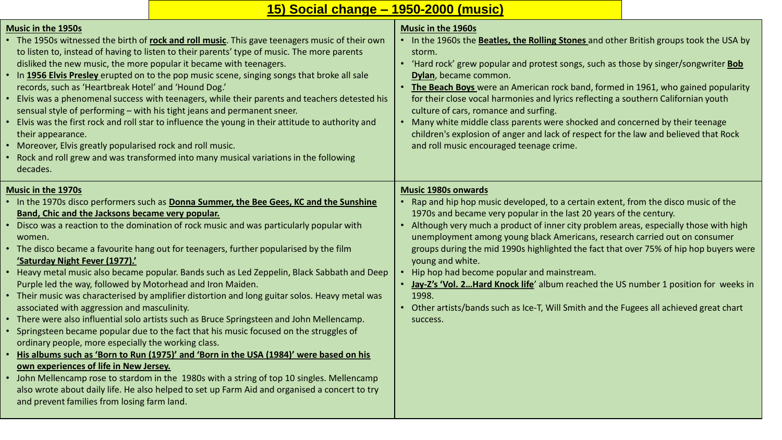|  |  | <u>15) Social change – 1950-2000 (music)</u> |  |
|--|--|----------------------------------------------|--|
|--|--|----------------------------------------------|--|

| <b>Music in the 1950s</b><br>• The 1950s witnessed the birth of rock and roll music. This gave teenagers music of their own<br>to listen to, instead of having to listen to their parents' type of music. The more parents<br>disliked the new music, the more popular it became with teenagers.<br>. In 1956 Elvis Presley erupted on to the pop music scene, singing songs that broke all sale<br>records, such as 'Heartbreak Hotel' and 'Hound Dog.'<br>• Elvis was a phenomenal success with teenagers, while their parents and teachers detested his<br>sensual style of performing - with his tight jeans and permanent sneer.<br>• Elvis was the first rock and roll star to influence the young in their attitude to authority and<br>their appearance.<br>• Moreover, Elvis greatly popularised rock and roll music.<br>• Rock and roll grew and was transformed into many musical variations in the following<br>decades.                                                                                                                                                                                                                                                                                                                                                                                                                        | <b>Music in the 1960s</b><br>• In the 1960s the Beatles, the Rolling Stones and other British groups took the USA by<br>storm.<br>• 'Hard rock' grew popular and protest songs, such as those by singer/songwriter <b>Bob</b><br>Dylan, became common.<br>The Beach Boys were an American rock band, formed in 1961, who gained popularity<br>for their close vocal harmonies and lyrics reflecting a southern Californian youth<br>culture of cars, romance and surfing.<br>• Many white middle class parents were shocked and concerned by their teenage<br>children's explosion of anger and lack of respect for the law and believed that Rock<br>and roll music encouraged teenage crime.                                       |
|-------------------------------------------------------------------------------------------------------------------------------------------------------------------------------------------------------------------------------------------------------------------------------------------------------------------------------------------------------------------------------------------------------------------------------------------------------------------------------------------------------------------------------------------------------------------------------------------------------------------------------------------------------------------------------------------------------------------------------------------------------------------------------------------------------------------------------------------------------------------------------------------------------------------------------------------------------------------------------------------------------------------------------------------------------------------------------------------------------------------------------------------------------------------------------------------------------------------------------------------------------------------------------------------------------------------------------------------------------------|--------------------------------------------------------------------------------------------------------------------------------------------------------------------------------------------------------------------------------------------------------------------------------------------------------------------------------------------------------------------------------------------------------------------------------------------------------------------------------------------------------------------------------------------------------------------------------------------------------------------------------------------------------------------------------------------------------------------------------------|
| <b>Music in the 1970s</b><br>. In the 1970s disco performers such as Donna Summer, the Bee Gees, KC and the Sunshine<br>Band, Chic and the Jacksons became very popular.<br>• Disco was a reaction to the domination of rock music and was particularly popular with<br>women.<br>• The disco became a favourite hang out for teenagers, further popularised by the film<br>'Saturday Night Fever (1977).'<br>• Heavy metal music also became popular. Bands such as Led Zeppelin, Black Sabbath and Deep<br>Purple led the way, followed by Motorhead and Iron Maiden.<br>• Their music was characterised by amplifier distortion and long guitar solos. Heavy metal was<br>associated with aggression and masculinity.<br>• There were also influential solo artists such as Bruce Springsteen and John Mellencamp.<br>• Springsteen became popular due to the fact that his music focused on the struggles of<br>ordinary people, more especially the working class.<br>• His albums such as 'Born to Run (1975)' and 'Born in the USA (1984)' were based on his<br>own experiences of life in New Jersey.<br>• John Mellencamp rose to stardom in the 1980s with a string of top 10 singles. Mellencamp<br>also wrote about daily life. He also helped to set up Farm Aid and organised a concert to try<br>and prevent families from losing farm land. | <b>Music 1980s onwards</b><br>• Rap and hip hop music developed, to a certain extent, from the disco music of the<br>1970s and became very popular in the last 20 years of the century.<br>• Although very much a product of inner city problem areas, especially those with high<br>unemployment among young black Americans, research carried out on consumer<br>groups during the mid 1990s highlighted the fact that over 75% of hip hop buyers were<br>young and white.<br>Hip hop had become popular and mainstream.<br>• Jay-Z's 'Vol. 2 Hard Knock life' album reached the US number 1 position for weeks in<br>1998.<br>• Other artists/bands such as Ice-T, Will Smith and the Fugees all achieved great chart<br>success. |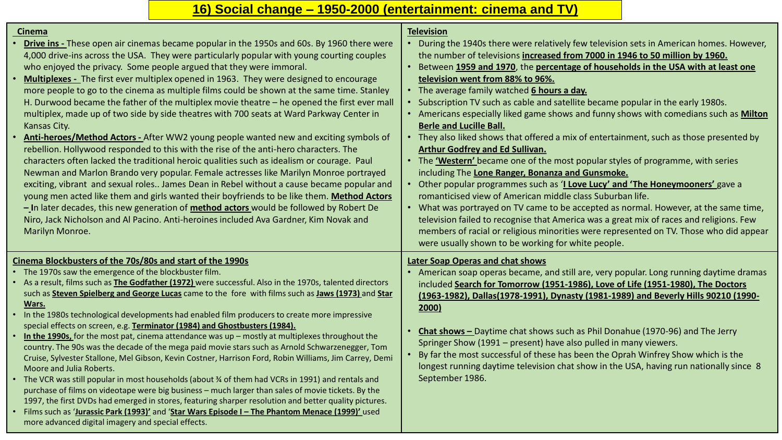# **16) Social change – 1950-2000 (entertainment: cinema and TV)**

| <b>Cinema</b>                                                                                                                                                                                   | <b>Television</b>                                                                                                                                                        |
|-------------------------------------------------------------------------------------------------------------------------------------------------------------------------------------------------|--------------------------------------------------------------------------------------------------------------------------------------------------------------------------|
| <b>Drive ins</b> - These open air cinemas became popular in the 1950s and 60s. By 1960 there were<br>4,000 drive-ins across the USA. They were particularly popular with young courting couples | • During the 1940s there were relatively few television sets in American homes. However,<br>the number of televisions increased from 7000 in 1946 to 50 million by 1960. |
| who enjoyed the privacy. Some people argued that they were immoral.                                                                                                                             | • Between 1959 and 1970, the percentage of households in the USA with at least one                                                                                       |
| Multiplexes - The first ever multiplex opened in 1963. They were designed to encourage                                                                                                          | television went from 88% to 96%.                                                                                                                                         |
| more people to go to the cinema as multiple films could be shown at the same time. Stanley                                                                                                      | • The average family watched 6 hours a day.                                                                                                                              |
| H. Durwood became the father of the multiplex movie theatre - he opened the first ever mall                                                                                                     | Subscription TV such as cable and satellite became popular in the early 1980s.                                                                                           |
| multiplex, made up of two side by side theatres with 700 seats at Ward Parkway Center in                                                                                                        | • Americans especially liked game shows and funny shows with comedians such as <b>Milton</b>                                                                             |
| Kansas City.                                                                                                                                                                                    | <b>Berle and Lucille Ball.</b>                                                                                                                                           |
| Anti-heroes/Method Actors - After WW2 young people wanted new and exciting symbols of                                                                                                           | • They also liked shows that offered a mix of entertainment, such as those presented by                                                                                  |
| rebellion. Hollywood responded to this with the rise of the anti-hero characters. The                                                                                                           | <b>Arthur Godfrey and Ed Sullivan.</b>                                                                                                                                   |
| characters often lacked the traditional heroic qualities such as idealism or courage. Paul                                                                                                      | • The 'Western' became one of the most popular styles of programme, with series                                                                                          |
| Newman and Marlon Brando very popular. Female actresses like Marilyn Monroe portrayed                                                                                                           | including The Lone Ranger, Bonanza and Gunsmoke.                                                                                                                         |
| exciting, vibrant and sexual roles James Dean in Rebel without a cause became popular and                                                                                                       | • Other popular programmes such as 'I Love Lucy' and 'The Honeymooners' gave a                                                                                           |
| young men acted like them and girls wanted their boyfriends to be like them. Method Actors                                                                                                      | romanticised view of American middle class Suburban life.                                                                                                                |
| - In later decades, this new generation of <b>method actors</b> would be followed by Robert De                                                                                                  | • What was portrayed on TV came to be accepted as normal. However, at the same time,                                                                                     |
| Niro, Jack Nicholson and Al Pacino. Anti-heroines included Ava Gardner, Kim Novak and                                                                                                           | television failed to recognise that America was a great mix of races and religions. Few                                                                                  |
| Marilyn Monroe.                                                                                                                                                                                 | members of racial or religious minorities were represented on TV. Those who did appear                                                                                   |
|                                                                                                                                                                                                 | were usually shown to be working for white people.                                                                                                                       |
|                                                                                                                                                                                                 |                                                                                                                                                                          |
| Cinema Blockbusters of the 70s/80s and start of the 1990s                                                                                                                                       | <b>Later Soap Operas and chat shows</b>                                                                                                                                  |
| • The 1970s saw the emergence of the blockbuster film.                                                                                                                                          | American soap operas became, and still are, very popular. Long running daytime dramas                                                                                    |
| • As a result, films such as <b>The Godfather (1972)</b> were successful. Also in the 1970s, talented directors                                                                                 | included Search for Tomorrow (1951-1986), Love of Life (1951-1980), The Doctors                                                                                          |
| such as Steven Spielberg and George Lucas came to the fore with films such as Jaws (1973) and Star                                                                                              | (1963-1982), Dallas(1978-1991), Dynasty (1981-1989) and Beverly Hills 90210 (1990-                                                                                       |
| Wars.                                                                                                                                                                                           | 2000)                                                                                                                                                                    |
| • In the 1980s technological developments had enabled film producers to create more impressive<br>special effects on screen, e.g. Terminator (1984) and Ghostbusters (1984).                    |                                                                                                                                                                          |
| . In the 1990s, for the most pat, cinema attendance was up - mostly at multiplexes throughout the                                                                                               | Chat shows - Daytime chat shows such as Phil Donahue (1970-96) and The Jerry                                                                                             |
| country. The 90s was the decade of the mega paid movie stars such as Arnold Schwarzenegger, Tom                                                                                                 | Springer Show (1991 – present) have also pulled in many viewers.                                                                                                         |
| Cruise, Sylvester Stallone, Mel Gibson, Kevin Costner, Harrison Ford, Robin Williams, Jim Carrey, Demi                                                                                          |                                                                                                                                                                          |
|                                                                                                                                                                                                 | By far the most successful of these has been the Oprah Winfrey Show which is the                                                                                         |
| Moore and Julia Roberts.                                                                                                                                                                        | longest running daytime television chat show in the USA, having run nationally since 8                                                                                   |
| • The VCR was still popular in most households (about % of them had VCRs in 1991) and rentals and                                                                                               | September 1986.                                                                                                                                                          |
| purchase of films on videotape were big business - much larger than sales of movie tickets. By the                                                                                              |                                                                                                                                                                          |
| 1997, the first DVDs had emerged in stores, featuring sharper resolution and better quality pictures.                                                                                           |                                                                                                                                                                          |
| • Films such as 'Jurassic Park (1993)' and 'Star Wars Episode I - The Phantom Menace (1999)' used<br>more advanced digital imagery and special effects.                                         |                                                                                                                                                                          |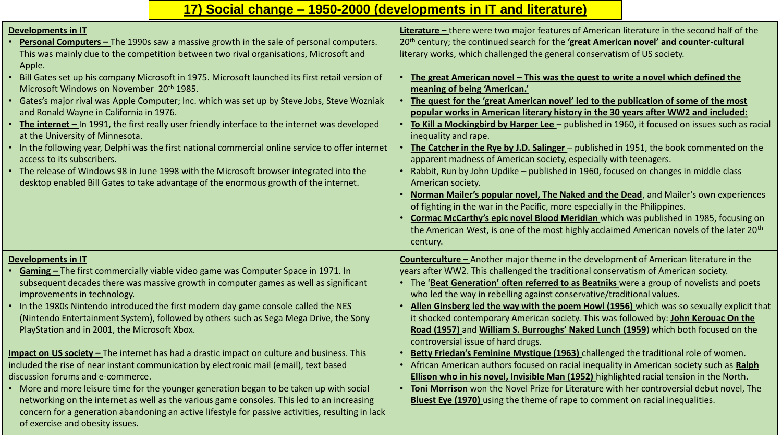# **17) Social change – 1950-2000 (developments in IT and literature)**

| <b>Developments in IT</b><br><b>Personal Computers -</b> The 1990s saw a massive growth in the sale of personal computers.<br>This was mainly due to the competition between two rival organisations, Microsoft and<br>Apple.<br>• Bill Gates set up his company Microsoft in 1975. Microsoft launched its first retail version of<br>Microsoft Windows on November 20 <sup>th</sup> 1985.<br>• Gates's major rival was Apple Computer; Inc. which was set up by Steve Jobs, Steve Wozniak<br>and Ronald Wayne in California in 1976.<br><b>The internet</b> $-$ In 1991, the first really user friendly interface to the internet was developed<br>at the University of Minnesota.<br>• In the following year, Delphi was the first national commercial online service to offer internet<br>access to its subscribers.<br>• The release of Windows 98 in June 1998 with the Microsoft browser integrated into the<br>desktop enabled Bill Gates to take advantage of the enormous growth of the internet.                          | Literature - there were two major features of American literature in the second half of the<br>20th century; the continued search for the 'great American novel' and counter-cultural<br>literary works, which challenged the general conservatism of US society.<br>The great American novel - This was the quest to write a novel which defined the<br>$\bullet$<br>meaning of being 'American.'<br>The quest for the 'great American novel' led to the publication of some of the most<br>popular works in American literary history in the 30 years after WW2 and included:<br>To Kill a Mockingbird by Harper Lee - published in 1960, it focused on issues such as racial<br>inequality and rape.<br>The Catcher in the Rye by J.D. Salinger - published in 1951, the book commented on the<br>apparent madness of American society, especially with teenagers.<br>• Rabbit, Run by John Updike - published in 1960, focused on changes in middle class<br>American society.<br>Norman Mailer's popular novel, The Naked and the Dead, and Mailer's own experiences<br>of fighting in the war in the Pacific, more especially in the Philippines.<br>Cormac McCarthy's epic novel Blood Meridian which was published in 1985, focusing on<br>the American West, is one of the most highly acclaimed American novels of the later 20 <sup>th</sup><br>century. |
|-------------------------------------------------------------------------------------------------------------------------------------------------------------------------------------------------------------------------------------------------------------------------------------------------------------------------------------------------------------------------------------------------------------------------------------------------------------------------------------------------------------------------------------------------------------------------------------------------------------------------------------------------------------------------------------------------------------------------------------------------------------------------------------------------------------------------------------------------------------------------------------------------------------------------------------------------------------------------------------------------------------------------------------|---------------------------------------------------------------------------------------------------------------------------------------------------------------------------------------------------------------------------------------------------------------------------------------------------------------------------------------------------------------------------------------------------------------------------------------------------------------------------------------------------------------------------------------------------------------------------------------------------------------------------------------------------------------------------------------------------------------------------------------------------------------------------------------------------------------------------------------------------------------------------------------------------------------------------------------------------------------------------------------------------------------------------------------------------------------------------------------------------------------------------------------------------------------------------------------------------------------------------------------------------------------------------------------------------------------------------------------------------------------------|
| <b>Developments in IT</b><br>Gaming - The first commercially viable video game was Computer Space in 1971. In<br>subsequent decades there was massive growth in computer games as well as significant<br>improvements in technology.<br>• In the 1980s Nintendo introduced the first modern day game console called the NES<br>(Nintendo Entertainment System), followed by others such as Sega Mega Drive, the Sony<br>PlayStation and in 2001, the Microsoft Xbox.<br>Impact on US society - The internet has had a drastic impact on culture and business. This<br>included the rise of near instant communication by electronic mail (email), text based<br>discussion forums and e-commerce.<br>• More and more leisure time for the younger generation began to be taken up with social<br>networking on the internet as well as the various game consoles. This led to an increasing<br>concern for a generation abandoning an active lifestyle for passive activities, resulting in lack<br>of exercise and obesity issues. | <b>Counterculture</b> - Another major theme in the development of American literature in the<br>years after WW2. This challenged the traditional conservatism of American society.<br>• The 'Beat Generation' often referred to as Beatniks were a group of novelists and poets<br>who led the way in rebelling against conservative/traditional values.<br>Allen Ginsberg led the way with the poem Howl (1956) which was so sexually explicit that<br>$\bullet$<br>it shocked contemporary American society. This was followed by: John Kerouac On the<br>Road (1957) and William S. Burroughs' Naked Lunch (1959) which both focused on the<br>controversial issue of hard drugs.<br>Betty Friedan's Feminine Mystique (1963) challenged the traditional role of women.<br>African American authors focused on racial inequality in American society such as Ralph<br>$\bullet$<br><b>Ellison who in his novel, Invisible Man (1952)</b> highlighted racial tension in the North.<br>Toni Morrison won the Novel Prize for Literature with her controversial debut novel, The<br>$\bullet$<br><b>Bluest Eye (1970)</b> using the theme of rape to comment on racial inequalities.                                                                                                                                                                                |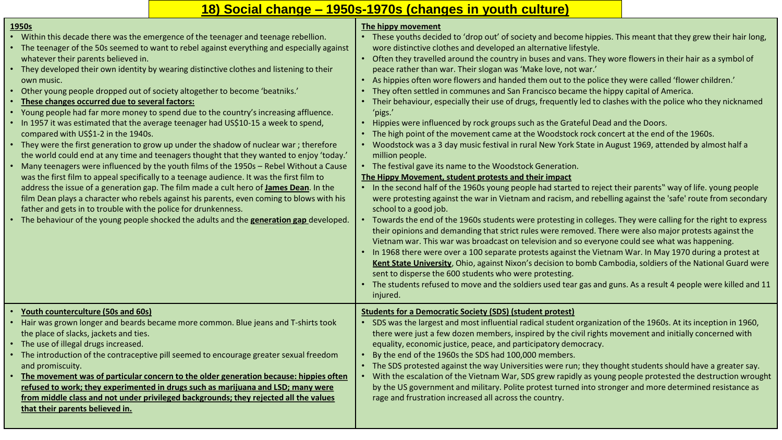# **18) Social change – 1950s-1970s (changes in youth culture)**

| 1950s                                                                                                                                                                              | The hippy movement                                                                                                                                                                                                                                                                                                                                                                                                                                                                                                                                                                                                                                                                                                                              |
|------------------------------------------------------------------------------------------------------------------------------------------------------------------------------------|-------------------------------------------------------------------------------------------------------------------------------------------------------------------------------------------------------------------------------------------------------------------------------------------------------------------------------------------------------------------------------------------------------------------------------------------------------------------------------------------------------------------------------------------------------------------------------------------------------------------------------------------------------------------------------------------------------------------------------------------------|
| • Within this decade there was the emergence of the teenager and teenage rebellion.<br>• The teenager of the 50s seemed to want to rebel against everything and especially against | • These youths decided to 'drop out' of society and become hippies. This meant that they grew their hair long,<br>wore distinctive clothes and developed an alternative lifestyle.                                                                                                                                                                                                                                                                                                                                                                                                                                                                                                                                                              |
| whatever their parents believed in.                                                                                                                                                | Often they travelled around the country in buses and vans. They wore flowers in their hair as a symbol of<br>$\bullet$                                                                                                                                                                                                                                                                                                                                                                                                                                                                                                                                                                                                                          |
| • They developed their own identity by wearing distinctive clothes and listening to their                                                                                          | peace rather than war. Their slogan was 'Make love, not war.'                                                                                                                                                                                                                                                                                                                                                                                                                                                                                                                                                                                                                                                                                   |
| own music.                                                                                                                                                                         | As hippies often wore flowers and handed them out to the police they were called 'flower children.'                                                                                                                                                                                                                                                                                                                                                                                                                                                                                                                                                                                                                                             |
| • Other young people dropped out of society altogether to become 'beatniks.'                                                                                                       | They often settled in communes and San Francisco became the hippy capital of America.                                                                                                                                                                                                                                                                                                                                                                                                                                                                                                                                                                                                                                                           |
| • These changes occurred due to several factors:                                                                                                                                   | Their behaviour, especially their use of drugs, frequently led to clashes with the police who they nicknamed                                                                                                                                                                                                                                                                                                                                                                                                                                                                                                                                                                                                                                    |
| • Young people had far more money to spend due to the country's increasing affluence.                                                                                              | 'pigs.'                                                                                                                                                                                                                                                                                                                                                                                                                                                                                                                                                                                                                                                                                                                                         |
| • In 1957 it was estimated that the average teenager had US\$10-15 a week to spend,                                                                                                | • Hippies were influenced by rock groups such as the Grateful Dead and the Doors.                                                                                                                                                                                                                                                                                                                                                                                                                                                                                                                                                                                                                                                               |
| compared with US\$1-2 in the 1940s.                                                                                                                                                | The high point of the movement came at the Woodstock rock concert at the end of the 1960s.                                                                                                                                                                                                                                                                                                                                                                                                                                                                                                                                                                                                                                                      |
| • They were the first generation to grow up under the shadow of nuclear war; therefore<br>the world could end at any time and teenagers thought that they wanted to enjoy 'today.' | • Woodstock was a 3 day music festival in rural New York State in August 1969, attended by almost half a<br>million people.                                                                                                                                                                                                                                                                                                                                                                                                                                                                                                                                                                                                                     |
| • Many teenagers were influenced by the youth films of the 1950s - Rebel Without a Cause                                                                                           | • The festival gave its name to the Woodstock Generation.                                                                                                                                                                                                                                                                                                                                                                                                                                                                                                                                                                                                                                                                                       |
| was the first film to appeal specifically to a teenage audience. It was the first film to                                                                                          | The Hippy Movement, student protests and their impact                                                                                                                                                                                                                                                                                                                                                                                                                                                                                                                                                                                                                                                                                           |
| address the issue of a generation gap. The film made a cult hero of <b>James Dean</b> . In the                                                                                     | • In the second half of the 1960s young people had started to reject their parents" way of life. young people                                                                                                                                                                                                                                                                                                                                                                                                                                                                                                                                                                                                                                   |
| film Dean plays a character who rebels against his parents, even coming to blows with his                                                                                          | were protesting against the war in Vietnam and racism, and rebelling against the 'safe' route from secondary                                                                                                                                                                                                                                                                                                                                                                                                                                                                                                                                                                                                                                    |
| father and gets in to trouble with the police for drunkenness.                                                                                                                     | school to a good job.                                                                                                                                                                                                                                                                                                                                                                                                                                                                                                                                                                                                                                                                                                                           |
| • The behaviour of the young people shocked the adults and the generation gap developed.                                                                                           | Towards the end of the 1960s students were protesting in colleges. They were calling for the right to express<br>their opinions and demanding that strict rules were removed. There were also major protests against the<br>Vietnam war. This war was broadcast on television and so everyone could see what was happening.<br>• In 1968 there were over a 100 separate protests against the Vietnam War. In May 1970 during a protest at<br>Kent State University, Ohio, against Nixon's decision to bomb Cambodia, soldiers of the National Guard were<br>sent to disperse the 600 students who were protesting.<br>The students refused to move and the soldiers used tear gas and guns. As a result 4 people were killed and 11<br>injured. |
| • Youth counterculture (50s and 60s)                                                                                                                                               | <b>Students for a Democratic Society (SDS) (student protest)</b>                                                                                                                                                                                                                                                                                                                                                                                                                                                                                                                                                                                                                                                                                |
| • Hair was grown longer and beards became more common. Blue jeans and T-shirts took                                                                                                | SDS was the largest and most influential radical student organization of the 1960s. At its inception in 1960,                                                                                                                                                                                                                                                                                                                                                                                                                                                                                                                                                                                                                                   |
| the place of slacks, jackets and ties.                                                                                                                                             | there were just a few dozen members, inspired by the civil rights movement and initially concerned with                                                                                                                                                                                                                                                                                                                                                                                                                                                                                                                                                                                                                                         |
| • The use of illegal drugs increased.                                                                                                                                              | equality, economic justice, peace, and participatory democracy.                                                                                                                                                                                                                                                                                                                                                                                                                                                                                                                                                                                                                                                                                 |
| • The introduction of the contraceptive pill seemed to encourage greater sexual freedom                                                                                            | By the end of the 1960s the SDS had 100,000 members.<br>$\bullet$                                                                                                                                                                                                                                                                                                                                                                                                                                                                                                                                                                                                                                                                               |
| and promiscuity.                                                                                                                                                                   | • The SDS protested against the way Universities were run; they thought students should have a greater say.                                                                                                                                                                                                                                                                                                                                                                                                                                                                                                                                                                                                                                     |
| • The movement was of particular concern to the older generation because: hippies often                                                                                            | With the escalation of the Vietnam War, SDS grew rapidly as young people protested the destruction wrought                                                                                                                                                                                                                                                                                                                                                                                                                                                                                                                                                                                                                                      |
| refused to work; they experimented in drugs such as marijuana and LSD; many were                                                                                                   | by the US government and military. Polite protest turned into stronger and more determined resistance as                                                                                                                                                                                                                                                                                                                                                                                                                                                                                                                                                                                                                                        |
| from middle class and not under privileged backgrounds; they rejected all the values                                                                                               | rage and frustration increased all across the country.                                                                                                                                                                                                                                                                                                                                                                                                                                                                                                                                                                                                                                                                                          |
| that their parents believed in.                                                                                                                                                    |                                                                                                                                                                                                                                                                                                                                                                                                                                                                                                                                                                                                                                                                                                                                                 |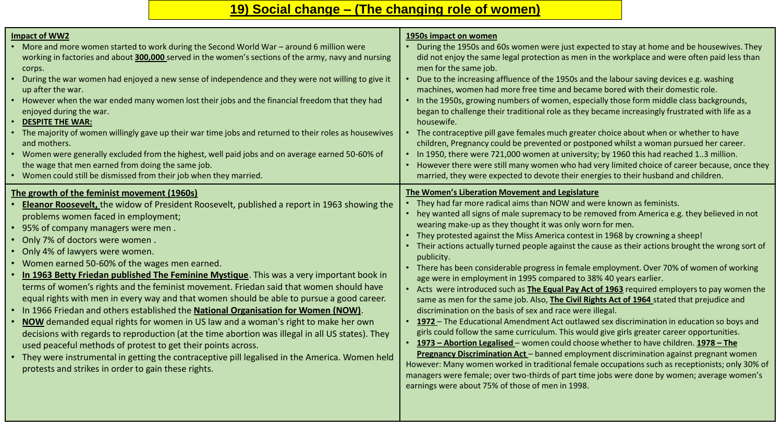# **19) Social change – (The changing role of women)**

| <b>Impact of WW2</b><br>• More and more women started to work during the Second World War - around 6 million were<br>working in factories and about 300,000 served in the women's sections of the army, navy and nursing<br>corps.<br>• During the war women had enjoyed a new sense of independence and they were not willing to give it<br>up after the war.<br>• However when the war ended many women lost their jobs and the financial freedom that they had<br>enjoyed during the war.<br><b>DESPITE THE WAR:</b><br>• The majority of women willingly gave up their war time jobs and returned to their roles as housewives<br>and mothers.<br>• Women were generally excluded from the highest, well paid jobs and on average earned 50-60% of<br>the wage that men earned from doing the same job.<br>• Women could still be dismissed from their job when they married.<br>The growth of the feminist movement (1960s)                                                                                                                                                                   | 1950s impact on women<br>During the 1950s and 60s women were just expected to stay at home and be housewives. They<br>did not enjoy the same legal protection as men in the workplace and were often paid less than<br>men for the same job.<br>Due to the increasing affluence of the 1950s and the labour saving devices e.g. washing<br>machines, women had more free time and became bored with their domestic role.<br>In the 1950s, growing numbers of women, especially those form middle class backgrounds,<br>began to challenge their traditional role as they became increasingly frustrated with life as a<br>housewife.<br>• The contraceptive pill gave females much greater choice about when or whether to have<br>children, Pregnancy could be prevented or postponed whilst a woman pursued her career.<br>• In 1950, there were 721,000 women at university; by 1960 this had reached 13 million.<br>However there were still many women who had very limited choice of career because, once they<br>married, they were expected to devote their energies to their husband and children.<br>The Women's Liberation Movement and Legislature                                                                                                                                                                                                                                                                                                                                                               |
|----------------------------------------------------------------------------------------------------------------------------------------------------------------------------------------------------------------------------------------------------------------------------------------------------------------------------------------------------------------------------------------------------------------------------------------------------------------------------------------------------------------------------------------------------------------------------------------------------------------------------------------------------------------------------------------------------------------------------------------------------------------------------------------------------------------------------------------------------------------------------------------------------------------------------------------------------------------------------------------------------------------------------------------------------------------------------------------------------|------------------------------------------------------------------------------------------------------------------------------------------------------------------------------------------------------------------------------------------------------------------------------------------------------------------------------------------------------------------------------------------------------------------------------------------------------------------------------------------------------------------------------------------------------------------------------------------------------------------------------------------------------------------------------------------------------------------------------------------------------------------------------------------------------------------------------------------------------------------------------------------------------------------------------------------------------------------------------------------------------------------------------------------------------------------------------------------------------------------------------------------------------------------------------------------------------------------------------------------------------------------------------------------------------------------------------------------------------------------------------------------------------------------------------------------------------------------------------------------------------------------------------|
| Eleanor Roosevelt, the widow of President Roosevelt, published a report in 1963 showing the<br>problems women faced in employment;<br>• 95% of company managers were men.<br>• Only 7% of doctors were women.<br>Only 4% of lawyers were women.<br>• Women earned 50-60% of the wages men earned.<br>. In 1963 Betty Friedan published The Feminine Mystique. This was a very important book in<br>terms of women's rights and the feminist movement. Friedan said that women should have<br>equal rights with men in every way and that women should be able to pursue a good career.<br>. In 1966 Friedan and others established the National Organisation for Women (NOW).<br>. NOW demanded equal rights for women in US law and a woman's right to make her own<br>decisions with regards to reproduction (at the time abortion was illegal in all US states). They<br>used peaceful methods of protest to get their points across.<br>• They were instrumental in getting the contraceptive pill legalised in the America. Women held<br>protests and strikes in order to gain these rights. | • They had far more radical aims than NOW and were known as feminists.<br>• hey wanted all signs of male supremacy to be removed from America e.g. they believed in not<br>wearing make-up as they thought it was only worn for men.<br>• They protested against the Miss America contest in 1968 by crowning a sheep!<br>• Their actions actually turned people against the cause as their actions brought the wrong sort of<br>publicity.<br>• There has been considerable progress in female employment. Over 70% of women of working<br>age were in employment in 1995 compared to 38% 40 years earlier.<br>• Acts were introduced such as The Equal Pay Act of 1963 required employers to pay women the<br>same as men for the same job. Also, <b>The Civil Rights Act of 1964</b> stated that prejudice and<br>discrimination on the basis of sex and race were illegal.<br>• 1972 - The Educational Amendment Act outlawed sex discrimination in education so boys and<br>girls could follow the same curriculum. This would give girls greater career opportunities.<br>• 1973 - Abortion Legalised - women could choose whether to have children. 1978 - The<br><b>Pregnancy Discrimination Act</b> - banned employment discrimination against pregnant women<br>However: Many women worked in traditional female occupations such as receptionists; only 30% of<br>managers were female; over two-thirds of part time jobs were done by women; average women's<br>earnings were about 75% of those of men in 1998. |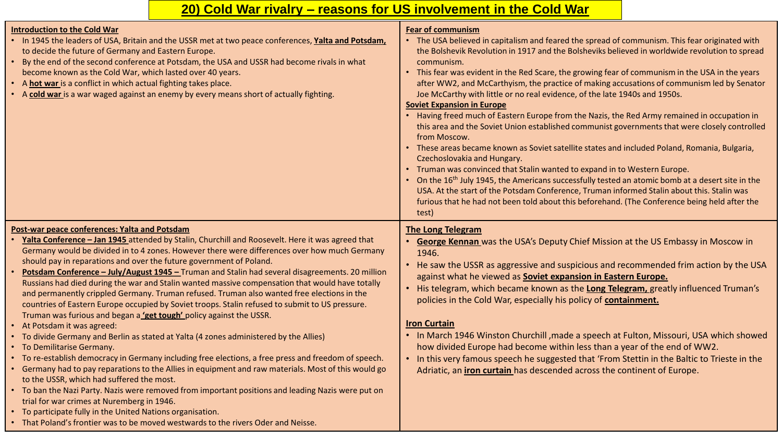# **20) Cold War rivalry – reasons for US involvement in the Cold War**

| <b>Introduction to the Cold War</b><br>. In 1945 the leaders of USA, Britain and the USSR met at two peace conferences, Yalta and Potsdam,<br>to decide the future of Germany and Eastern Europe.<br>• By the end of the second conference at Potsdam, the USA and USSR had become rivals in what<br>become known as the Cold War, which lasted over 40 years.<br>• A hot war is a conflict in which actual fighting takes place.<br>• A cold war is a war waged against an enemy by every means short of actually fighting.                                                                                                                                                                                                                                                                                                                                                                                                                                                                                                                                                                                                                                                                                                                                                                                                                                                                                                                                                                                                        | <b>Fear of communism</b><br>• The USA believed in capitalism and feared the spread of communism. This fear originated with<br>the Bolshevik Revolution in 1917 and the Bolsheviks believed in worldwide revolution to spread<br>communism.<br>• This fear was evident in the Red Scare, the growing fear of communism in the USA in the years<br>after WW2, and McCarthyism, the practice of making accusations of communism led by Senator<br>Joe McCarthy with little or no real evidence, of the late 1940s and 1950s.<br><b>Soviet Expansion in Europe</b><br>Having freed much of Eastern Europe from the Nazis, the Red Army remained in occupation in<br>this area and the Soviet Union established communist governments that were closely controlled<br>from Moscow.<br>• These areas became known as Soviet satellite states and included Poland, Romania, Bulgaria,<br>Czechoslovakia and Hungary.<br>• Truman was convinced that Stalin wanted to expand in to Western Europe.<br>• On the 16 <sup>th</sup> July 1945, the Americans successfully tested an atomic bomb at a desert site in the<br>USA. At the start of the Potsdam Conference, Truman informed Stalin about this. Stalin was<br>furious that he had not been told about this beforehand. (The Conference being held after the<br>test) |
|-------------------------------------------------------------------------------------------------------------------------------------------------------------------------------------------------------------------------------------------------------------------------------------------------------------------------------------------------------------------------------------------------------------------------------------------------------------------------------------------------------------------------------------------------------------------------------------------------------------------------------------------------------------------------------------------------------------------------------------------------------------------------------------------------------------------------------------------------------------------------------------------------------------------------------------------------------------------------------------------------------------------------------------------------------------------------------------------------------------------------------------------------------------------------------------------------------------------------------------------------------------------------------------------------------------------------------------------------------------------------------------------------------------------------------------------------------------------------------------------------------------------------------------|---------------------------------------------------------------------------------------------------------------------------------------------------------------------------------------------------------------------------------------------------------------------------------------------------------------------------------------------------------------------------------------------------------------------------------------------------------------------------------------------------------------------------------------------------------------------------------------------------------------------------------------------------------------------------------------------------------------------------------------------------------------------------------------------------------------------------------------------------------------------------------------------------------------------------------------------------------------------------------------------------------------------------------------------------------------------------------------------------------------------------------------------------------------------------------------------------------------------------------------------------------------------------------------------------------------------|
| Post-war peace conferences: Yalta and Potsdam<br>Yalta Conference - Jan 1945 attended by Stalin, Churchill and Roosevelt. Here it was agreed that<br>Germany would be divided in to 4 zones. However there were differences over how much Germany<br>should pay in reparations and over the future government of Poland.<br>• Potsdam Conference - July/August 1945 - Truman and Stalin had several disagreements. 20 million<br>Russians had died during the war and Stalin wanted massive compensation that would have totally<br>and permanently crippled Germany. Truman refused. Truman also wanted free elections in the<br>countries of Eastern Europe occupied by Soviet troops. Stalin refused to submit to US pressure.<br>Truman was furious and began a 'get tough' policy against the USSR.<br>• At Potsdam it was agreed:<br>• To divide Germany and Berlin as stated at Yalta (4 zones administered by the Allies)<br>• To Demilitarise Germany.<br>• To re-establish democracy in Germany including free elections, a free press and freedom of speech.<br>• Germany had to pay reparations to the Allies in equipment and raw materials. Most of this would go<br>to the USSR, which had suffered the most.<br>• To ban the Nazi Party. Nazis were removed from important positions and leading Nazis were put on<br>trial for war crimes at Nuremberg in 1946.<br>• To participate fully in the United Nations organisation.<br>• That Poland's frontier was to be moved westwards to the rivers Oder and Neisse. | <b>The Long Telegram</b><br><b>George Kennan</b> was the USA's Deputy Chief Mission at the US Embassy in Moscow in<br>1946.<br>• He saw the USSR as aggressive and suspicious and recommended frim action by the USA<br>against what he viewed as Soviet expansion in Eastern Europe.<br>• His telegram, which became known as the Long Telegram, greatly influenced Truman's<br>policies in the Cold War, especially his policy of containment.<br><b>Iron Curtain</b><br>• In March 1946 Winston Churchill, made a speech at Fulton, Missouri, USA which showed<br>how divided Europe had become within less than a year of the end of WW2.<br>• In this very famous speech he suggested that 'From Stettin in the Baltic to Trieste in the<br>Adriatic, an <i>iron</i> curtain has descended across the continent of Europe.                                                                                                                                                                                                                                                                                                                                                                                                                                                                                     |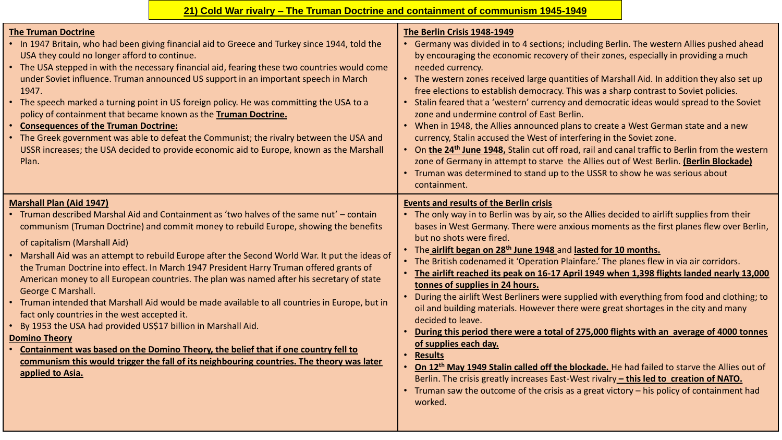# **21) Cold War rivalry – The Truman Doctrine and containment of communism 1945-1949**

| <b>The Truman Doctrine</b><br>• In 1947 Britain, who had been giving financial aid to Greece and Turkey since 1944, told the<br>USA they could no longer afford to continue.<br>• The USA stepped in with the necessary financial aid, fearing these two countries would come<br>under Soviet influence. Truman announced US support in an important speech in March<br>1947.<br>• The speech marked a turning point in US foreign policy. He was committing the USA to a<br>policy of containment that became known as the Truman Doctrine.<br><b>• Consequences of the Truman Doctrine:</b><br>• The Greek government was able to defeat the Communist; the rivalry between the USA and<br>USSR increases; the USA decided to provide economic aid to Europe, known as the Marshall<br>Plan.                                                                                                                                                                                                                                     | The Berlin Crisis 1948-1949<br>• Germany was divided in to 4 sections; including Berlin. The western Allies pushed ahead<br>by encouraging the economic recovery of their zones, especially in providing a much<br>needed currency.<br>• The western zones received large quantities of Marshall Aid. In addition they also set up<br>free elections to establish democracy. This was a sharp contrast to Soviet policies.<br>• Stalin feared that a 'western' currency and democratic ideas would spread to the Soviet<br>zone and undermine control of East Berlin.<br>• When in 1948, the Allies announced plans to create a West German state and a new<br>currency, Stalin accused the West of interfering in the Soviet zone.<br>On the 24 <sup>th</sup> June 1948, Stalin cut off road, rail and canal traffic to Berlin from the western<br>zone of Germany in attempt to starve the Allies out of West Berlin. (Berlin Blockade)<br>• Truman was determined to stand up to the USSR to show he was serious about<br>containment.                                                                                                                                                                                        |
|------------------------------------------------------------------------------------------------------------------------------------------------------------------------------------------------------------------------------------------------------------------------------------------------------------------------------------------------------------------------------------------------------------------------------------------------------------------------------------------------------------------------------------------------------------------------------------------------------------------------------------------------------------------------------------------------------------------------------------------------------------------------------------------------------------------------------------------------------------------------------------------------------------------------------------------------------------------------------------------------------------------------------------|----------------------------------------------------------------------------------------------------------------------------------------------------------------------------------------------------------------------------------------------------------------------------------------------------------------------------------------------------------------------------------------------------------------------------------------------------------------------------------------------------------------------------------------------------------------------------------------------------------------------------------------------------------------------------------------------------------------------------------------------------------------------------------------------------------------------------------------------------------------------------------------------------------------------------------------------------------------------------------------------------------------------------------------------------------------------------------------------------------------------------------------------------------------------------------------------------------------------------------|
| <b>Marshall Plan (Aid 1947)</b><br>Truman described Marshal Aid and Containment as 'two halves of the same nut' - contain<br>$\bullet$<br>communism (Truman Doctrine) and commit money to rebuild Europe, showing the benefits<br>of capitalism (Marshall Aid)<br>• Marshall Aid was an attempt to rebuild Europe after the Second World War. It put the ideas of<br>the Truman Doctrine into effect. In March 1947 President Harry Truman offered grants of<br>American money to all European countries. The plan was named after his secretary of state<br>George C Marshall.<br>• Truman intended that Marshall Aid would be made available to all countries in Europe, but in<br>fact only countries in the west accepted it.<br>• By 1953 the USA had provided US\$17 billion in Marshall Aid.<br><b>Domino Theory</b><br>Containment was based on the Domino Theory, the belief that if one country fell to<br>communism this would trigger the fall of its neighbouring countries. The theory was later<br>applied to Asia. | <b>Events and results of the Berlin crisis</b><br>• The only way in to Berlin was by air, so the Allies decided to airlift supplies from their<br>bases in West Germany. There were anxious moments as the first planes flew over Berlin,<br>but no shots were fired.<br>• The airlift began on 28th June 1948 and lasted for 10 months.<br>• The British codenamed it 'Operation Plainfare.' The planes flew in via air corridors.<br>• The airlift reached its peak on 16-17 April 1949 when 1,398 flights landed nearly 13,000<br>tonnes of supplies in 24 hours.<br>During the airlift West Berliners were supplied with everything from food and clothing; to<br>oil and building materials. However there were great shortages in the city and many<br>decided to leave.<br>During this period there were a total of 275,000 flights with an average of 4000 tonnes<br>of supplies each day.<br><b>Results</b><br>On 12 <sup>th</sup> May 1949 Stalin called off the blockade. He had failed to starve the Allies out of<br>Berlin. The crisis greatly increases East-West rivalry - this led to creation of NATO.<br>• Truman saw the outcome of the crisis as a great victory - his policy of containment had<br>worked. |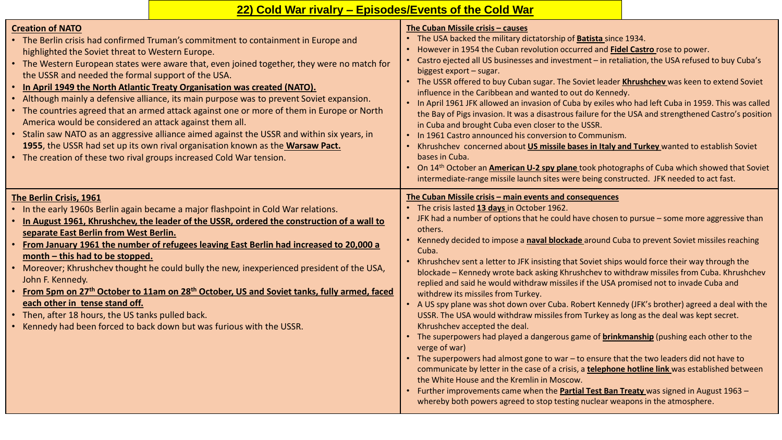# **22) Cold War rivalry – Episodes/Events of the Cold War**

| <b>Creation of NATO</b><br>• The Berlin crisis had confirmed Truman's commitment to containment in Europe and<br>highlighted the Soviet threat to Western Europe.<br>• The Western European states were aware that, even joined together, they were no match for<br>the USSR and needed the formal support of the USA.<br>. In April 1949 the North Atlantic Treaty Organisation was created (NATO).<br>• Although mainly a defensive alliance, its main purpose was to prevent Soviet expansion.<br>• The countries agreed that an armed attack against one or more of them in Europe or North<br>America would be considered an attack against them all.<br>• Stalin saw NATO as an aggressive alliance aimed against the USSR and within six years, in<br>1955, the USSR had set up its own rival organisation known as the Warsaw Pact.<br>• The creation of these two rival groups increased Cold War tension. | The Cuban Missile crisis - causes<br>• The USA backed the military dictatorship of <b>Batista</b> since 1934.<br>However in 1954 the Cuban revolution occurred and Fidel Castro rose to power.<br>Castro ejected all US businesses and investment - in retaliation, the USA refused to buy Cuba's<br>biggest export - sugar.<br>• The USSR offered to buy Cuban sugar. The Soviet leader Khrushchev was keen to extend Soviet<br>influence in the Caribbean and wanted to out do Kennedy.<br>. In April 1961 JFK allowed an invasion of Cuba by exiles who had left Cuba in 1959. This was called<br>the Bay of Pigs invasion. It was a disastrous failure for the USA and strengthened Castro's position<br>in Cuba and brought Cuba even closer to the USSR.<br>• In 1961 Castro announced his conversion to Communism.<br>Khrushchev concerned about US missile bases in Italy and Turkey wanted to establish Soviet<br>bases in Cuba.<br>• On 14 <sup>th</sup> October an <b>American U-2 spy plane</b> took photographs of Cuba which showed that Soviet<br>intermediate-range missile launch sites were being constructed. JFK needed to act fast.                                                                                                                                                                                                                                                                                  |
|---------------------------------------------------------------------------------------------------------------------------------------------------------------------------------------------------------------------------------------------------------------------------------------------------------------------------------------------------------------------------------------------------------------------------------------------------------------------------------------------------------------------------------------------------------------------------------------------------------------------------------------------------------------------------------------------------------------------------------------------------------------------------------------------------------------------------------------------------------------------------------------------------------------------|-------------------------------------------------------------------------------------------------------------------------------------------------------------------------------------------------------------------------------------------------------------------------------------------------------------------------------------------------------------------------------------------------------------------------------------------------------------------------------------------------------------------------------------------------------------------------------------------------------------------------------------------------------------------------------------------------------------------------------------------------------------------------------------------------------------------------------------------------------------------------------------------------------------------------------------------------------------------------------------------------------------------------------------------------------------------------------------------------------------------------------------------------------------------------------------------------------------------------------------------------------------------------------------------------------------------------------------------------------------------------------------------------------------------------------------------|
| The Berlin Crisis, 1961<br>• In the early 1960s Berlin again became a major flashpoint in Cold War relations.<br>In August 1961, Khrushchev, the leader of the USSR, ordered the construction of a wall to<br>separate East Berlin from West Berlin.<br>From January 1961 the number of refugees leaving East Berlin had increased to 20,000 a<br>month $-$ this had to be stopped.<br>• Moreover; Khrushchev thought he could bully the new, inexperienced president of the USA,<br>John F. Kennedy.<br>• From 5pm on 27th October to 11am on 28th October, US and Soviet tanks, fully armed, faced<br>each other in tense stand off.<br>• Then, after 18 hours, the US tanks pulled back.<br>• Kennedy had been forced to back down but was furious with the USSR.                                                                                                                                                | The Cuban Missile crisis - main events and consequences<br>The crisis lasted 13 days in October 1962.<br>• JFK had a number of options that he could have chosen to pursue - some more aggressive than<br>others.<br>Kennedy decided to impose a naval blockade around Cuba to prevent Soviet missiles reaching<br>Cuba.<br>Khrushchev sent a letter to JFK insisting that Soviet ships would force their way through the<br>blockade - Kennedy wrote back asking Khrushchev to withdraw missiles from Cuba. Khrushchev<br>replied and said he would withdraw missiles if the USA promised not to invade Cuba and<br>withdrew its missiles from Turkey.<br>• A US spy plane was shot down over Cuba. Robert Kennedy (JFK's brother) agreed a deal with the<br>USSR. The USA would withdraw missiles from Turkey as long as the deal was kept secret.<br>Khrushchev accepted the deal.<br>• The superpowers had played a dangerous game of <b>brinkmanship</b> (pushing each other to the<br>verge of war)<br>• The superpowers had almost gone to war - to ensure that the two leaders did not have to<br>communicate by letter in the case of a crisis, a telephone hotline link was established between<br>the White House and the Kremlin in Moscow.<br>Further improvements came when the <b>Partial Test Ban Treaty</b> was signed in August 1963 -<br>whereby both powers agreed to stop testing nuclear weapons in the atmosphere. |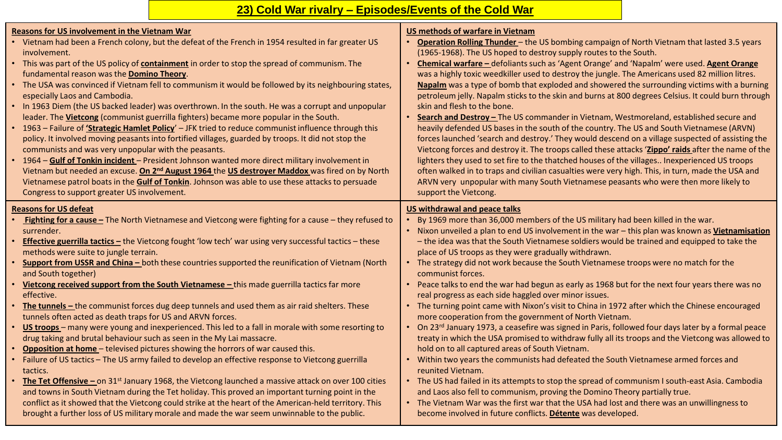### **23) Cold War rivalry – Episodes/Events of the Cold War**

#### **Reasons for US involvement in the Vietnam War** • Vietnam had been a French colony, but the defeat of the French in 1954 resulted in far greater US involvement. • This was part of the US policy of **containment** in order to stop the spread of communism. The fundamental reason was the **Domino Theory**. • The USA was convinced if Vietnam fell to communism it would be followed by its neighbouring states, especially Laos and Cambodia. • In 1963 Diem (the US backed leader) was overthrown. In the south. He was a corrupt and unpopular leader. The **Vietcong** (communist guerrilla fighters) became more popular in the South. • 1963 – Failure of **'Strategic Hamlet Policy**' – JFK tried to reduce communist influence through this policy. It involved moving peasants into fortified villages, guarded by troops. It did not stop the communists and was very unpopular with the peasants. • 1964 – **Gulf of Tonkin incident** – President Johnson wanted more direct military involvement in Vietnam but needed an excuse. **On 2nd August 1964** the **US destroyer Maddox** was fired on by North Vietnamese patrol boats in the **Gulf of Tonkin**. Johnson was able to use these attacks to persuade Congress to support greater US involvement. **US methods of warfare in Vietnam** • **Operation Rolling Thunder** – the US bombing campaign of North Vietnam that lasted 3.5 years (1965-1968). The US hoped to destroy supply routes to the South. • **Chemical warfare –** defoliants such as 'Agent Orange' and 'Napalm' were used. **Agent Orange**  was a highly toxic weedkiller used to destroy the jungle. The Americans used 82 million litres. **Napalm** was a type of bomb that exploded and showered the surrounding victims with a burning petroleum jelly. Napalm sticks to the skin and burns at 800 degrees Celsius. It could burn through skin and flesh to the bone. • **Search and Destroy –** The US commander in Vietnam, Westmoreland, established secure and heavily defended US bases in the south of the country. The US and South Vietnamese (ARVN) forces launched 'search and destroy.' They would descend on a village suspected of assisting the Vietcong forces and destroy it. The troops called these attacks '**Zippo' raids** after the name of the lighters they used to set fire to the thatched houses of the villages.. Inexperienced US troops often walked in to traps and civilian casualties were very high. This, in turn, made the USA and ARVN very unpopular with many South Vietnamese peasants who were then more likely to support the Vietcong. **Reasons for US defeat** • **Fighting for a cause –** The North Vietnamese and Vietcong were fighting for a cause – they refused to surrender. **Effective guerrilla tactics -** the Vietcong fought 'low tech' war using very successful tactics - these methods were suite to jungle terrain. • **Support from USSR and China –** both these countries supported the reunification of Vietnam (North and South together) **Vietcong received support from the South Vietnamese - this made guerrilla tactics far more** effective. • **The tunnels –** the communist forces dug deep tunnels and used them as air raid shelters. These tunnels often acted as death traps for US and ARVN forces. • **US troops** – many were young and inexperienced. This led to a fall in morale with some resorting to drug taking and brutal behaviour such as seen in the My Lai massacre. • **Opposition at home** – televised pictures showing the horrors of war caused this. • Failure of US tactics – The US army failed to develop an effective response to Vietcong guerrilla tactics. • **The Tet Offensive –** on 31st January 1968, the Vietcong launched a massive attack on over 100 cities and towns in South Vietnam during the Tet holiday. This proved an important turning point in the conflict as it showed that the Vietcong could strike at the heart of the American-held territory. This brought a further loss of US military morale and made the war seem unwinnable to the public. **US withdrawal and peace talks** • By 1969 more than 36,000 members of the US military had been killed in the war. • Nixon unveiled a plan to end US involvement in the war – this plan was known as **Vietnamisation** – the idea was that the South Vietnamese soldiers would be trained and equipped to take the place of US troops as they were gradually withdrawn. • The strategy did not work because the South Vietnamese troops were no match for the communist forces. • Peace talks to end the war had begun as early as 1968 but for the next four years there was no real progress as each side haggled over minor issues. • The turning point came with Nixon's visit to China in 1972 after which the Chinese encouraged more cooperation from the government of North Vietnam. • On 23<sup>rd</sup> January 1973, a ceasefire was signed in Paris, followed four days later by a formal peace treaty in which the USA promised to withdraw fully all its troops and the Vietcong was allowed to hold on to all captured areas of South Vietnam. • Within two years the communists had defeated the South Vietnamese armed forces and reunited Vietnam. • The US had failed in its attempts to stop the spread of communism I south-east Asia. Cambodia and Laos also fell to communism, proving the Domino Theory partially true. • The Vietnam War was the first war that the USA had lost and there was an unwillingness to become involved in future conflicts. **Détente** was developed.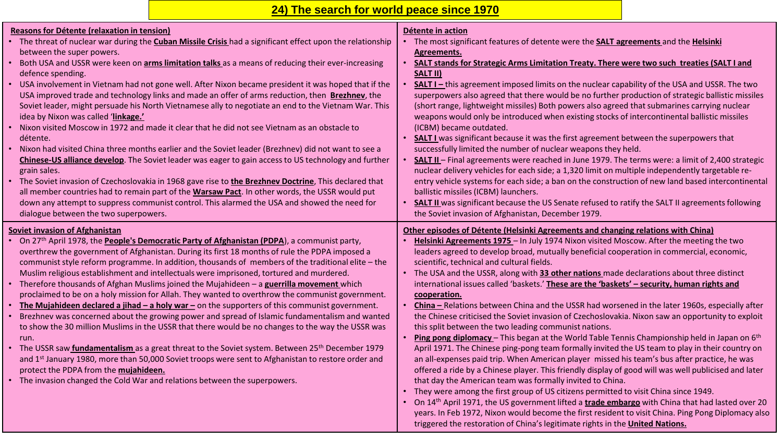# **24) The search for world peace since 1970**

| Reasons for Détente (relaxation in tension)                                                                         | Détente in action                                                                                                                                                                          |
|---------------------------------------------------------------------------------------------------------------------|--------------------------------------------------------------------------------------------------------------------------------------------------------------------------------------------|
| The threat of nuclear war during the <b>Cuban Missile Crisis</b> had a significant effect upon the relationship     | . The most significant features of detente were the <b>SALT agreements</b> and the <b>Helsinki</b>                                                                                         |
| between the super powers.                                                                                           | <b>Agreements.</b>                                                                                                                                                                         |
| Both USA and USSR were keen on <b>arms limitation talks</b> as a means of reducing their ever-increasing            | <b>SALT stands for Strategic Arms Limitation Treaty. There were two such treaties (SALT I and</b>                                                                                          |
| defence spending.                                                                                                   | SALT II)                                                                                                                                                                                   |
| • USA involvement in Vietnam had not gone well. After Nixon became president it was hoped that if the               | <b>SALT I</b> - this agreement imposed limits on the nuclear capability of the USA and USSR. The two                                                                                       |
| USA improved trade and technology links and made an offer of arms reduction, then Brezhnev, the                     | superpowers also agreed that there would be no further production of strategic ballistic missiles                                                                                          |
| Soviet leader, might persuade his North Vietnamese ally to negotiate an end to the Vietnam War. This                | (short range, lightweight missiles) Both powers also agreed that submarines carrying nuclear                                                                                               |
| idea by Nixon was called 'linkage.'                                                                                 | weapons would only be introduced when existing stocks of intercontinental ballistic missiles                                                                                               |
| . Nixon visited Moscow in 1972 and made it clear that he did not see Vietnam as an obstacle to                      | (ICBM) became outdated.                                                                                                                                                                    |
| détente.                                                                                                            | <b>SALT I</b> was significant because it was the first agreement between the superpowers that                                                                                              |
| . Nixon had visited China three months earlier and the Soviet leader (Brezhnev) did not want to see a               | successfully limited the number of nuclear weapons they held.                                                                                                                              |
| Chinese-US alliance develop. The Soviet leader was eager to gain access to US technology and further                | SALT II - Final agreements were reached in June 1979. The terms were: a limit of 2,400 strategic                                                                                           |
| grain sales.                                                                                                        | nuclear delivery vehicles for each side; a 1,320 limit on multiple independently targetable re-                                                                                            |
| • The Soviet invasion of Czechoslovakia in 1968 gave rise to the Brezhnev Doctrine, This declared that              | entry vehicle systems for each side; a ban on the construction of new land based intercontinental                                                                                          |
| all member countries had to remain part of the Warsaw Pact. In other words, the USSR would put                      | ballistic missiles (ICBM) launchers.                                                                                                                                                       |
| down any attempt to suppress communist control. This alarmed the USA and showed the need for                        | <b>SALT II</b> was significant because the US Senate refused to ratify the SALT II agreements following                                                                                    |
| dialogue between the two superpowers.                                                                               | the Soviet invasion of Afghanistan, December 1979.                                                                                                                                         |
| <b>Soviet invasion of Afghanistan</b>                                                                               | Other episodes of Détente (Helsinki Agreements and changing relations with China)                                                                                                          |
| On 27 <sup>th</sup> April 1978, the <b>People's Democratic Party of Afghanistan (PDPA</b> ), a communist party,     | Helsinki Agreements 1975 - In July 1974 Nixon visited Moscow. After the meeting the two                                                                                                    |
|                                                                                                                     |                                                                                                                                                                                            |
| overthrew the government of Afghanistan. During its first 18 months of rule the PDPA imposed a                      | leaders agreed to develop broad, mutually beneficial cooperation in commercial, economic,                                                                                                  |
| communist style reform programme. In addition, thousands of members of the traditional elite - the                  | scientific, technical and cultural fields.                                                                                                                                                 |
| Muslim religious establishment and intellectuals were imprisoned, tortured and murdered.                            | The USA and the USSR, along with 33 other nations made declarations about three distinct                                                                                                   |
| Therefore thousands of Afghan Muslims joined the Mujahideen - a guerrilla movement which                            | international issues called 'baskets.' These are the 'baskets' - security, human rights and                                                                                                |
| proclaimed to be on a holy mission for Allah. They wanted to overthrow the communist government.                    | cooperation.                                                                                                                                                                               |
| The Mujahideen declared a jihad $-$ a holy war $-$ on the supporters of this communist government.                  | China - Relations between China and the USSR had worsened in the later 1960s, especially after                                                                                             |
| Brezhnev was concerned about the growing power and spread of Islamic fundamentalism and wanted                      | the Chinese criticised the Soviet invasion of Czechoslovakia. Nixon saw an opportunity to exploit                                                                                          |
| to show the 30 million Muslims in the USSR that there would be no changes to the way the USSR was                   | this split between the two leading communist nations.                                                                                                                                      |
| run.                                                                                                                | Ping pong diplomacy - This began at the World Table Tennis Championship held in Japan on 6 <sup>th</sup>                                                                                   |
| • The USSR saw <b>fundamentalism</b> as a great threat to the Soviet system. Between 25 <sup>th</sup> December 1979 | April 1971. The Chinese ping-pong team formally invited the US team to play in their country on                                                                                            |
| and 1st January 1980, more than 50,000 Soviet troops were sent to Afghanistan to restore order and                  | an all-expenses paid trip. When American player missed his team's bus after practice, he was                                                                                               |
| protect the PDPA from the mujahideen.                                                                               | offered a ride by a Chinese player. This friendly display of good will was well publicised and later                                                                                       |
| • The invasion changed the Cold War and relations between the superpowers.                                          | that day the American team was formally invited to China.                                                                                                                                  |
|                                                                                                                     | They were among the first group of US citizens permitted to visit China since 1949.                                                                                                        |
|                                                                                                                     | On 14 <sup>th</sup> April 1971, the US government lifted a <b>trade embargo</b> with China that had lasted over 20                                                                         |
|                                                                                                                     | years. In Feb 1972, Nixon would become the first resident to visit China. Ping Pong Diplomacy also<br>triggered the restoration of China's legitimate rights in the <b>United Nations.</b> |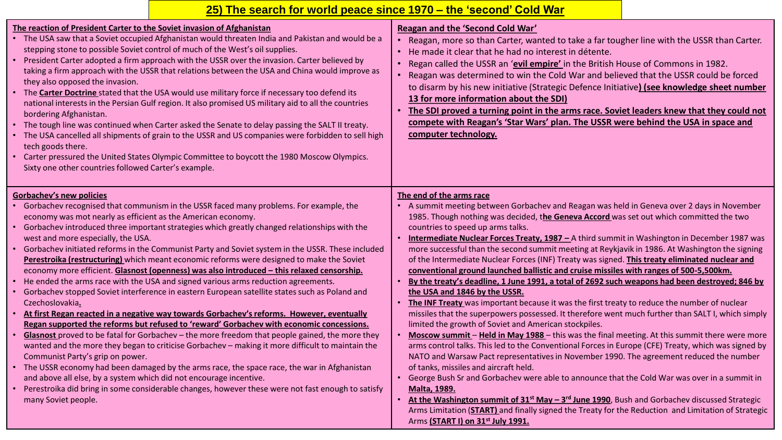| 25) The search for world peace since 1970 – the 'second' Cold War                                                                                                                                                                                                                                                                                                                                                                                                                                                                                                                                                                                                                                                                                                                                                                                                                                                                                                                                                                                                                                                                                                                                                                                                                                                                                                                                                                                                                                                                                                               |                                                                                                                                                                                                                                                                                                                                                                                                                                                                                                                                                                                                                                                                                                                                                                                                                                                                                                                                                                                                                                                                                                                                                                                                                                                                                                                                                                                                                                                                                                                                                                                                                                                                                                                                                                                                                       |  |
|---------------------------------------------------------------------------------------------------------------------------------------------------------------------------------------------------------------------------------------------------------------------------------------------------------------------------------------------------------------------------------------------------------------------------------------------------------------------------------------------------------------------------------------------------------------------------------------------------------------------------------------------------------------------------------------------------------------------------------------------------------------------------------------------------------------------------------------------------------------------------------------------------------------------------------------------------------------------------------------------------------------------------------------------------------------------------------------------------------------------------------------------------------------------------------------------------------------------------------------------------------------------------------------------------------------------------------------------------------------------------------------------------------------------------------------------------------------------------------------------------------------------------------------------------------------------------------|-----------------------------------------------------------------------------------------------------------------------------------------------------------------------------------------------------------------------------------------------------------------------------------------------------------------------------------------------------------------------------------------------------------------------------------------------------------------------------------------------------------------------------------------------------------------------------------------------------------------------------------------------------------------------------------------------------------------------------------------------------------------------------------------------------------------------------------------------------------------------------------------------------------------------------------------------------------------------------------------------------------------------------------------------------------------------------------------------------------------------------------------------------------------------------------------------------------------------------------------------------------------------------------------------------------------------------------------------------------------------------------------------------------------------------------------------------------------------------------------------------------------------------------------------------------------------------------------------------------------------------------------------------------------------------------------------------------------------------------------------------------------------------------------------------------------------|--|
| The reaction of President Carter to the Soviet invasion of Afghanistan<br>The USA saw that a Soviet occupied Afghanistan would threaten India and Pakistan and would be a<br>$\bullet$<br>stepping stone to possible Soviet control of much of the West's oil supplies.<br>• President Carter adopted a firm approach with the USSR over the invasion. Carter believed by<br>taking a firm approach with the USSR that relations between the USA and China would improve as<br>they also opposed the invasion.<br>• The <b>Carter Doctrine</b> stated that the USA would use military force if necessary too defend its<br>national interests in the Persian Gulf region. It also promised US military aid to all the countries<br>bordering Afghanistan.<br>• The tough line was continued when Carter asked the Senate to delay passing the SALT II treaty.<br>The USA cancelled all shipments of grain to the USSR and US companies were forbidden to sell high<br>tech goods there.<br>• Carter pressured the United States Olympic Committee to boycott the 1980 Moscow Olympics.<br>Sixty one other countries followed Carter's example.                                                                                                                                                                                                                                                                                                                                                                                                                                  | Reagan and the 'Second Cold War'<br>Reagan, more so than Carter, wanted to take a far tougher line with the USSR than Carter.<br>• He made it clear that he had no interest in détente.<br>• Regan called the USSR an 'evil empire' in the British House of Commons in 1982.<br>• Reagan was determined to win the Cold War and believed that the USSR could be forced<br>to disarm by his new initiative (Strategic Defence Initiative) (see knowledge sheet number<br>13 for more information about the SDI)<br>The SDI proved a turning point in the arms race. Soviet leaders knew that they could not<br>compete with Reagan's 'Star Wars' plan. The USSR were behind the USA in space and<br>computer technology.                                                                                                                                                                                                                                                                                                                                                                                                                                                                                                                                                                                                                                                                                                                                                                                                                                                                                                                                                                                                                                                                                               |  |
| <b>Gorbachev's new policies</b><br>Gorbachev recognised that communism in the USSR faced many problems. For example, the<br>economy was mot nearly as efficient as the American economy.<br>• Gorbachev introduced three important strategies which greatly changed relationships with the<br>west and more especially, the USA.<br>Gorbachev initiated reforms in the Communist Party and Soviet system in the USSR. These included<br>Perestroika (restructuring) which meant economic reforms were designed to make the Soviet<br>economy more efficient. Glasnost (openness) was also introduced - this relaxed censorship.<br>He ended the arms race with the USA and signed various arms reduction agreements.<br>Gorbachev stopped Soviet interference in eastern European satellite states such as Poland and<br>Czechoslovakia.<br>At first Regan reacted in a negative way towards Gorbachev's reforms. However, eventually<br>Regan supported the reforms but refused to 'reward' Gorbachev with economic concessions.<br>Glasnost proved to be fatal for Gorbachev - the more freedom that people gained, the more they<br>wanted and the more they began to criticise Gorbachev - making it more difficult to maintain the<br>Communist Party's grip on power.<br>• The USSR economy had been damaged by the arms race, the space race, the war in Afghanistan<br>and above all else, by a system which did not encourage incentive.<br>• Perestroika did bring in some considerable changes, however these were not fast enough to satisfy<br>many Soviet people. | The end of the arms race<br>A summit meeting between Gorbachev and Reagan was held in Geneva over 2 days in November<br>1985. Though nothing was decided, the Geneva Accord was set out which committed the two<br>countries to speed up arms talks.<br>Intermediate Nuclear Forces Treaty, 1987 - A third summit in Washington in December 1987 was<br>$\bullet$<br>more successful than the second summit meeting at Reykjavik in 1986. At Washington the signing<br>of the Intermediate Nuclear Forces (INF) Treaty was signed. This treaty eliminated nuclear and<br>conventional ground launched ballistic and cruise missiles with ranges of 500-5,500km.<br>By the treaty's deadline, 1 June 1991, a total of 2692 such weapons had been destroyed; 846 by<br>the USA and 1846 by the USSR.<br>The INF Treaty was important because it was the first treaty to reduce the number of nuclear<br>missiles that the superpowers possessed. It therefore went much further than SALT I, which simply<br>limited the growth of Soviet and American stockpiles.<br>Moscow summit - Held in May 1988 - this was the final meeting. At this summit there were more<br>arms control talks. This led to the Conventional Forces in Europe (CFE) Treaty, which was signed by<br>NATO and Warsaw Pact representatives in November 1990. The agreement reduced the number<br>of tanks, missiles and aircraft held.<br>• George Bush Sr and Gorbachev were able to announce that the Cold War was over in a summit in<br><b>Malta, 1989.</b><br>At the Washington summit of 31 <sup>st</sup> May - 3 <sup>rd</sup> June 1990, Bush and Gorbachev discussed Strategic<br>Arms Limitation (START) and finally signed the Treaty for the Reduction and Limitation of Strategic<br>Arms (START I) on 31 <sup>st</sup> July 1991. |  |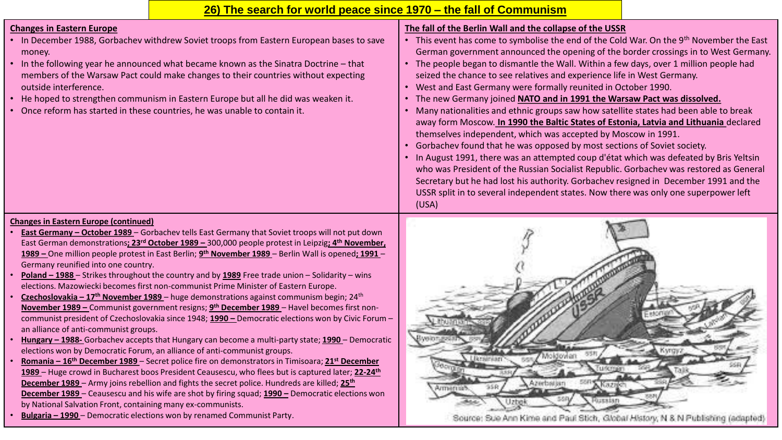### **26) The search for world peace since 1970 – the fall of Communism**

#### **Changes in Eastern Europe**

- In December 1988, Gorbachev withdrew Soviet troops from Eastern European bases to save money.
- In the following year he announced what became known as the Sinatra Doctrine that members of the Warsaw Pact could make changes to their countries without expecting outside interference.
- He hoped to strengthen communism in Eastern Europe but all he did was weaken it.
- Once reform has started in these countries, he was unable to contain it.

### **The fall of the Berlin Wall and the collapse of the USSR**

- This event has come to symbolise the end of the Cold War. On the 9<sup>th</sup> November the East German government announced the opening of the border crossings in to West Germany.
- The people began to dismantle the Wall. Within a few days, over 1 million people had seized the chance to see relatives and experience life in West Germany.
- West and East Germany were formally reunited in October 1990.
- The new Germany joined **NATO and in 1991 the Warsaw Pact was dissolved.**
- Many nationalities and ethnic groups saw how satellite states had been able to break away form Moscow. **In 1990 the Baltic States of Estonia, Latvia and Lithuania** declared themselves independent, which was accepted by Moscow in 1991.
- Gorbachev found that he was opposed by most sections of Soviet society.
- In August 1991, there was an attempted coup d'état which was defeated by Bris Yeltsin who was President of the Russian Socialist Republic. Gorbachev was restored as General Secretary but he had lost his authority. Gorbachev resigned in December 1991 and the USSR split in to several independent states. Now there was only one superpower left (USA)

#### **Changes in Eastern Europe (continued)**

- **East Germany – October 1989**  Gorbachev tells East Germany that Soviet troops will not put down East German demonstrations**; 23rd October 1989 –** 300,000 people protest in Leipzig**; 4th November, 1989 –** One million people protest in East Berlin; **9 th November 1989** – Berlin Wall is opened**; 1991** – Germany reunified into one country.
- **Poland – 1988**  Strikes throughout the country and by **1989** Free trade union Solidarity wins elections. Mazowiecki becomes first non-communist Prime Minister of Eastern Europe.
- **Czechoslovakia – 17th November 1989**  huge demonstrations against communism begin; 24th **November 1989 –** Communist government resigns; **9 th December 1989** – Havel becomes first noncommunist president of Czechoslovakia since 1948; **1990 –** Democratic elections won by Civic Forum – an alliance of anti-communist groups.
- **Hungary – 1988-** Gorbachev accepts that Hungary can become a multi-party state; **1990**  Democratic elections won by Democratic Forum, an alliance of anti-communist groups.
- **Romania – 16th December 1989**  Secret police fire on demonstrators in Timisoara; **21st December 1989** – Huge crowd in Bucharest boos President Ceausescu, who flees but is captured later; **22-24th December 1989** – Army joins rebellion and fights the secret police. Hundreds are killed; **25th December 1989** – Ceausescu and his wife are shot by firing squad; **1990 –** Democratic elections won by National Salvation Front, containing many ex-communists.
- **Bulgaria – 1990**  Democratic elections won by renamed Communist Party.